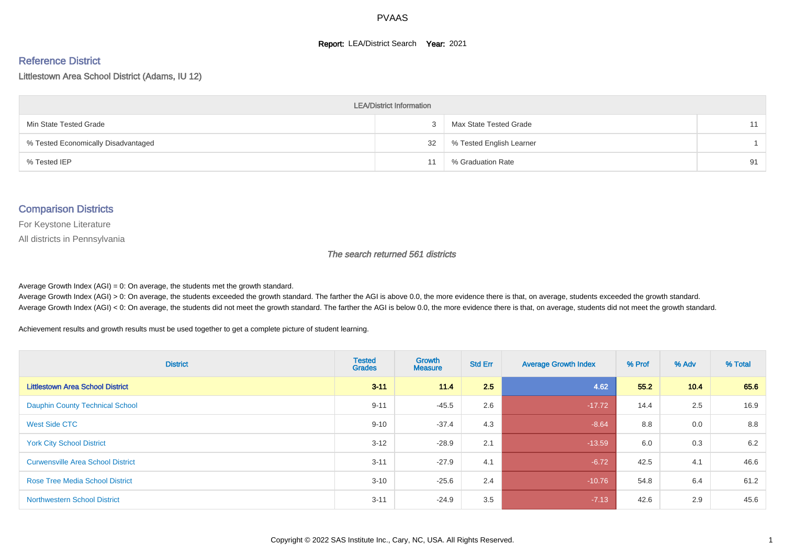#### **Report: LEA/District Search Year: 2021**

#### Reference District

Littlestown Area School District (Adams, IU 12)

| <b>LEA/District Information</b>     |    |                          |    |  |  |  |  |  |  |  |
|-------------------------------------|----|--------------------------|----|--|--|--|--|--|--|--|
| Min State Tested Grade              |    | Max State Tested Grade   | 11 |  |  |  |  |  |  |  |
| % Tested Economically Disadvantaged | 32 | % Tested English Learner |    |  |  |  |  |  |  |  |
| % Tested IEP                        | 11 | % Graduation Rate        | 91 |  |  |  |  |  |  |  |

#### Comparison Districts

For Keystone Literature

All districts in Pennsylvania

The search returned 561 districts

Average Growth Index  $(AGI) = 0$ : On average, the students met the growth standard.

Average Growth Index (AGI) > 0: On average, the students exceeded the growth standard. The farther the AGI is above 0.0, the more evidence there is that, on average, students exceeded the growth standard. Average Growth Index (AGI) < 0: On average, the students did not meet the growth standard. The farther the AGI is below 0.0, the more evidence there is that, on average, students did not meet the growth standard.

Achievement results and growth results must be used together to get a complete picture of student learning.

| <b>District</b>                          | <b>Tested</b><br><b>Grades</b> | <b>Growth</b><br><b>Measure</b> | <b>Std Err</b> | <b>Average Growth Index</b> | % Prof | % Adv | % Total |
|------------------------------------------|--------------------------------|---------------------------------|----------------|-----------------------------|--------|-------|---------|
| <b>Littlestown Area School District</b>  | $3 - 11$                       | 11.4                            | 2.5            | 4.62                        | 55.2   | 10.4  | 65.6    |
| <b>Dauphin County Technical School</b>   | $9 - 11$                       | $-45.5$                         | 2.6            | $-17.72$                    | 14.4   | 2.5   | 16.9    |
| West Side CTC                            | $9 - 10$                       | $-37.4$                         | 4.3            | $-8.64$                     | 8.8    | 0.0   | 8.8     |
| <b>York City School District</b>         | $3 - 12$                       | $-28.9$                         | 2.1            | $-13.59$                    | 6.0    | 0.3   | 6.2     |
| <b>Curwensville Area School District</b> | $3 - 11$                       | $-27.9$                         | 4.1            | $-6.72$                     | 42.5   | 4.1   | 46.6    |
| <b>Rose Tree Media School District</b>   | $3 - 10$                       | $-25.6$                         | 2.4            | $-10.76$                    | 54.8   | 6.4   | 61.2    |
| <b>Northwestern School District</b>      | $3 - 11$                       | $-24.9$                         | 3.5            | $-7.13$                     | 42.6   | 2.9   | 45.6    |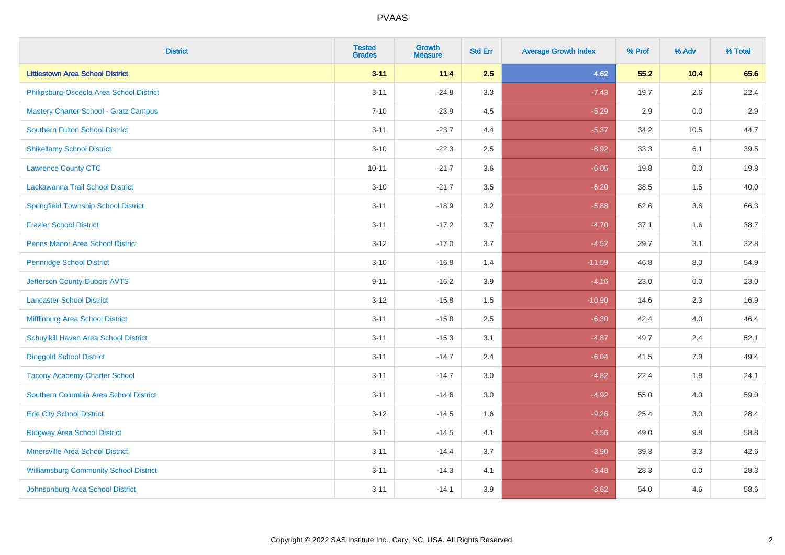| <b>District</b>                               | <b>Tested</b><br><b>Grades</b> | <b>Growth</b><br><b>Measure</b> | <b>Std Err</b> | <b>Average Growth Index</b> | % Prof | % Adv | % Total |
|-----------------------------------------------|--------------------------------|---------------------------------|----------------|-----------------------------|--------|-------|---------|
| <b>Littlestown Area School District</b>       | $3 - 11$                       | 11.4                            | 2.5            | 4.62                        | 55.2   | 10.4  | 65.6    |
| Philipsburg-Osceola Area School District      | $3 - 11$                       | $-24.8$                         | 3.3            | $-7.43$                     | 19.7   | 2.6   | 22.4    |
| <b>Mastery Charter School - Gratz Campus</b>  | $7 - 10$                       | $-23.9$                         | 4.5            | $-5.29$                     | 2.9    | 0.0   | 2.9     |
| <b>Southern Fulton School District</b>        | $3 - 11$                       | $-23.7$                         | 4.4            | $-5.37$                     | 34.2   | 10.5  | 44.7    |
| <b>Shikellamy School District</b>             | $3 - 10$                       | $-22.3$                         | 2.5            | $-8.92$                     | 33.3   | 6.1   | 39.5    |
| <b>Lawrence County CTC</b>                    | $10 - 11$                      | $-21.7$                         | 3.6            | $-6.05$                     | 19.8   | 0.0   | 19.8    |
| Lackawanna Trail School District              | $3 - 10$                       | $-21.7$                         | 3.5            | $-6.20$                     | 38.5   | 1.5   | 40.0    |
| <b>Springfield Township School District</b>   | $3 - 11$                       | $-18.9$                         | 3.2            | $-5.88$                     | 62.6   | 3.6   | 66.3    |
| <b>Frazier School District</b>                | $3 - 11$                       | $-17.2$                         | 3.7            | $-4.70$                     | 37.1   | 1.6   | 38.7    |
| <b>Penns Manor Area School District</b>       | $3 - 12$                       | $-17.0$                         | 3.7            | $-4.52$                     | 29.7   | 3.1   | 32.8    |
| <b>Pennridge School District</b>              | $3 - 10$                       | $-16.8$                         | 1.4            | $-11.59$                    | 46.8   | 8.0   | 54.9    |
| Jefferson County-Dubois AVTS                  | $9 - 11$                       | $-16.2$                         | 3.9            | $-4.16$                     | 23.0   | 0.0   | 23.0    |
| <b>Lancaster School District</b>              | $3 - 12$                       | $-15.8$                         | 1.5            | $-10.90$                    | 14.6   | 2.3   | 16.9    |
| Mifflinburg Area School District              | $3 - 11$                       | $-15.8$                         | 2.5            | $-6.30$                     | 42.4   | 4.0   | 46.4    |
| Schuylkill Haven Area School District         | $3 - 11$                       | $-15.3$                         | 3.1            | $-4.87$                     | 49.7   | 2.4   | 52.1    |
| <b>Ringgold School District</b>               | $3 - 11$                       | $-14.7$                         | 2.4            | $-6.04$                     | 41.5   | 7.9   | 49.4    |
| <b>Tacony Academy Charter School</b>          | $3 - 11$                       | $-14.7$                         | 3.0            | $-4.82$                     | 22.4   | 1.8   | 24.1    |
| Southern Columbia Area School District        | $3 - 11$                       | $-14.6$                         | 3.0            | $-4.92$                     | 55.0   | 4.0   | 59.0    |
| <b>Erie City School District</b>              | $3 - 12$                       | $-14.5$                         | 1.6            | $-9.26$                     | 25.4   | 3.0   | 28.4    |
| <b>Ridgway Area School District</b>           | $3 - 11$                       | $-14.5$                         | 4.1            | $-3.56$                     | 49.0   | 9.8   | 58.8    |
| <b>Minersville Area School District</b>       | $3 - 11$                       | $-14.4$                         | 3.7            | $-3.90$                     | 39.3   | 3.3   | 42.6    |
| <b>Williamsburg Community School District</b> | $3 - 11$                       | $-14.3$                         | 4.1            | $-3.48$                     | 28.3   | 0.0   | 28.3    |
| Johnsonburg Area School District              | $3 - 11$                       | $-14.1$                         | 3.9            | $-3.62$                     | 54.0   | 4.6   | 58.6    |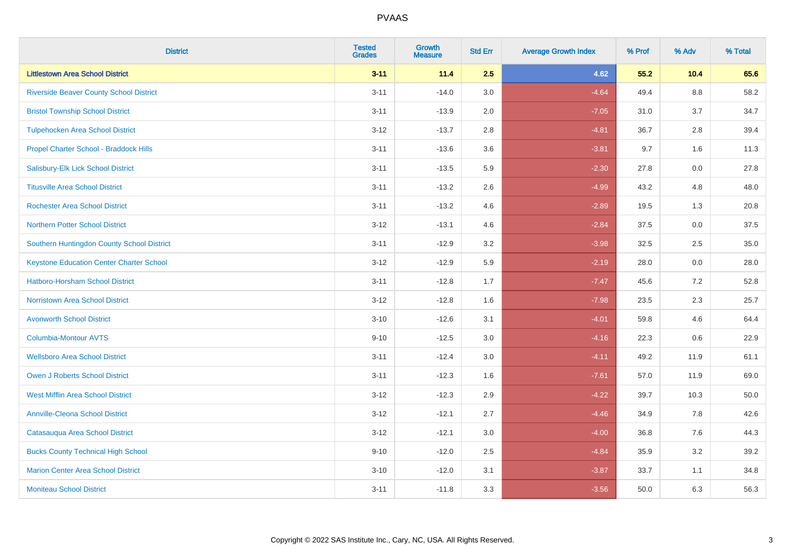| <b>District</b>                                 | <b>Tested</b><br><b>Grades</b> | <b>Growth</b><br><b>Measure</b> | <b>Std Err</b> | <b>Average Growth Index</b> | % Prof | % Adv   | % Total |
|-------------------------------------------------|--------------------------------|---------------------------------|----------------|-----------------------------|--------|---------|---------|
| <b>Littlestown Area School District</b>         | $3 - 11$                       | 11.4                            | 2.5            | 4.62                        | 55.2   | 10.4    | 65.6    |
| <b>Riverside Beaver County School District</b>  | $3 - 11$                       | $-14.0$                         | 3.0            | $-4.64$                     | 49.4   | $8.8\,$ | 58.2    |
| <b>Bristol Township School District</b>         | $3 - 11$                       | $-13.9$                         | 2.0            | $-7.05$                     | 31.0   | 3.7     | 34.7    |
| <b>Tulpehocken Area School District</b>         | $3 - 12$                       | $-13.7$                         | 2.8            | $-4.81$                     | 36.7   | 2.8     | 39.4    |
| Propel Charter School - Braddock Hills          | $3 - 11$                       | $-13.6$                         | 3.6            | $-3.81$                     | 9.7    | 1.6     | 11.3    |
| Salisbury-Elk Lick School District              | $3 - 11$                       | $-13.5$                         | 5.9            | $-2.30$                     | 27.8   | 0.0     | 27.8    |
| <b>Titusville Area School District</b>          | $3 - 11$                       | $-13.2$                         | 2.6            | $-4.99$                     | 43.2   | 4.8     | 48.0    |
| <b>Rochester Area School District</b>           | $3 - 11$                       | $-13.2$                         | 4.6            | $-2.89$                     | 19.5   | 1.3     | 20.8    |
| <b>Northern Potter School District</b>          | $3 - 12$                       | $-13.1$                         | 4.6            | $-2.84$                     | 37.5   | 0.0     | 37.5    |
| Southern Huntingdon County School District      | $3 - 11$                       | $-12.9$                         | 3.2            | $-3.98$                     | 32.5   | $2.5\,$ | 35.0    |
| <b>Keystone Education Center Charter School</b> | $3 - 12$                       | $-12.9$                         | 5.9            | $-2.19$                     | 28.0   | 0.0     | 28.0    |
| <b>Hatboro-Horsham School District</b>          | $3 - 11$                       | $-12.8$                         | 1.7            | $-7.47$                     | 45.6   | 7.2     | 52.8    |
| <b>Norristown Area School District</b>          | $3 - 12$                       | $-12.8$                         | 1.6            | $-7.98$                     | 23.5   | 2.3     | 25.7    |
| <b>Avonworth School District</b>                | $3 - 10$                       | $-12.6$                         | 3.1            | $-4.01$                     | 59.8   | 4.6     | 64.4    |
| Columbia-Montour AVTS                           | $9 - 10$                       | $-12.5$                         | 3.0            | $-4.16$                     | 22.3   | 0.6     | 22.9    |
| <b>Wellsboro Area School District</b>           | $3 - 11$                       | $-12.4$                         | 3.0            | $-4.11$                     | 49.2   | 11.9    | 61.1    |
| <b>Owen J Roberts School District</b>           | $3 - 11$                       | $-12.3$                         | 1.6            | $-7.61$                     | 57.0   | 11.9    | 69.0    |
| <b>West Mifflin Area School District</b>        | $3 - 12$                       | $-12.3$                         | 2.9            | $-4.22$                     | 39.7   | 10.3    | 50.0    |
| <b>Annville-Cleona School District</b>          | $3 - 12$                       | $-12.1$                         | 2.7            | $-4.46$                     | 34.9   | 7.8     | 42.6    |
| Catasauqua Area School District                 | $3 - 12$                       | $-12.1$                         | 3.0            | $-4.00$                     | 36.8   | 7.6     | 44.3    |
| <b>Bucks County Technical High School</b>       | $9 - 10$                       | $-12.0$                         | 2.5            | $-4.84$                     | 35.9   | 3.2     | 39.2    |
| <b>Marion Center Area School District</b>       | $3 - 10$                       | $-12.0$                         | 3.1            | $-3.87$                     | 33.7   | 1.1     | 34.8    |
| <b>Moniteau School District</b>                 | $3 - 11$                       | $-11.8$                         | 3.3            | $-3.56$                     | 50.0   | 6.3     | 56.3    |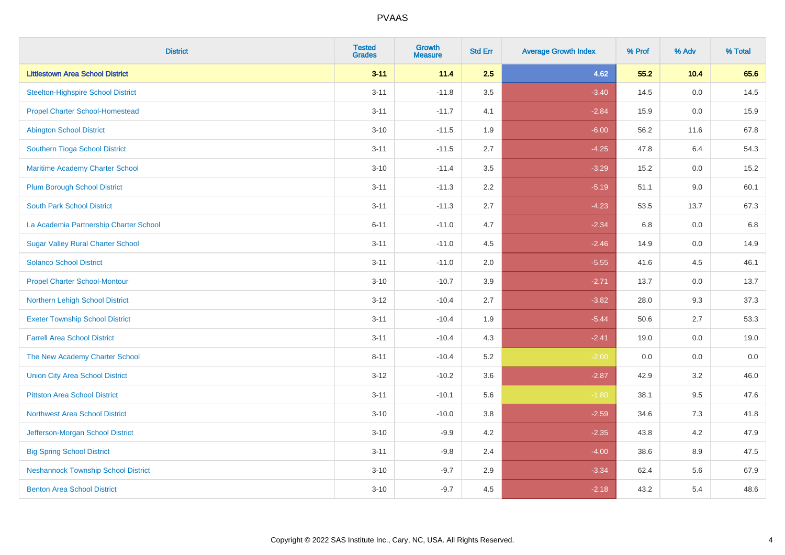| <b>District</b>                            | <b>Tested</b><br><b>Grades</b> | <b>Growth</b><br><b>Measure</b> | <b>Std Err</b> | <b>Average Growth Index</b> | % Prof | % Adv   | % Total |
|--------------------------------------------|--------------------------------|---------------------------------|----------------|-----------------------------|--------|---------|---------|
| <b>Littlestown Area School District</b>    | $3 - 11$                       | 11.4                            | 2.5            | 4.62                        | 55.2   | 10.4    | 65.6    |
| <b>Steelton-Highspire School District</b>  | $3 - 11$                       | $-11.8$                         | 3.5            | $-3.40$                     | 14.5   | 0.0     | 14.5    |
| <b>Propel Charter School-Homestead</b>     | $3 - 11$                       | $-11.7$                         | 4.1            | $-2.84$                     | 15.9   | 0.0     | 15.9    |
| <b>Abington School District</b>            | $3 - 10$                       | $-11.5$                         | 1.9            | $-6.00$                     | 56.2   | 11.6    | 67.8    |
| Southern Tioga School District             | $3 - 11$                       | $-11.5$                         | 2.7            | $-4.25$                     | 47.8   | 6.4     | 54.3    |
| Maritime Academy Charter School            | $3 - 10$                       | $-11.4$                         | 3.5            | $-3.29$                     | 15.2   | 0.0     | 15.2    |
| <b>Plum Borough School District</b>        | $3 - 11$                       | $-11.3$                         | 2.2            | $-5.19$                     | 51.1   | 9.0     | 60.1    |
| <b>South Park School District</b>          | $3 - 11$                       | $-11.3$                         | 2.7            | $-4.23$                     | 53.5   | 13.7    | 67.3    |
| La Academia Partnership Charter School     | $6 - 11$                       | $-11.0$                         | 4.7            | $-2.34$                     | 6.8    | 0.0     | 6.8     |
| <b>Sugar Valley Rural Charter School</b>   | $3 - 11$                       | $-11.0$                         | 4.5            | $-2.46$                     | 14.9   | 0.0     | 14.9    |
| <b>Solanco School District</b>             | $3 - 11$                       | $-11.0$                         | 2.0            | $-5.55$                     | 41.6   | 4.5     | 46.1    |
| <b>Propel Charter School-Montour</b>       | $3 - 10$                       | $-10.7$                         | 3.9            | $-2.71$                     | 13.7   | 0.0     | 13.7    |
| Northern Lehigh School District            | $3 - 12$                       | $-10.4$                         | 2.7            | $-3.82$                     | 28.0   | 9.3     | 37.3    |
| <b>Exeter Township School District</b>     | $3 - 11$                       | $-10.4$                         | 1.9            | $-5.44$                     | 50.6   | 2.7     | 53.3    |
| <b>Farrell Area School District</b>        | $3 - 11$                       | $-10.4$                         | 4.3            | $-2.41$                     | 19.0   | 0.0     | 19.0    |
| The New Academy Charter School             | $8 - 11$                       | $-10.4$                         | 5.2            | $-2.00$                     | 0.0    | $0.0\,$ | $0.0\,$ |
| <b>Union City Area School District</b>     | $3 - 12$                       | $-10.2$                         | 3.6            | $-2.87$                     | 42.9   | 3.2     | 46.0    |
| <b>Pittston Area School District</b>       | $3 - 11$                       | $-10.1$                         | 5.6            | $-1.80$                     | 38.1   | 9.5     | 47.6    |
| <b>Northwest Area School District</b>      | $3 - 10$                       | $-10.0$                         | 3.8            | $-2.59$                     | 34.6   | $7.3$   | 41.8    |
| Jefferson-Morgan School District           | $3 - 10$                       | $-9.9$                          | 4.2            | $-2.35$                     | 43.8   | 4.2     | 47.9    |
| <b>Big Spring School District</b>          | $3 - 11$                       | $-9.8$                          | 2.4            | $-4.00$                     | 38.6   | 8.9     | 47.5    |
| <b>Neshannock Township School District</b> | $3 - 10$                       | $-9.7$                          | 2.9            | $-3.34$                     | 62.4   | 5.6     | 67.9    |
| <b>Benton Area School District</b>         | $3 - 10$                       | $-9.7$                          | 4.5            | $-2.18$                     | 43.2   | 5.4     | 48.6    |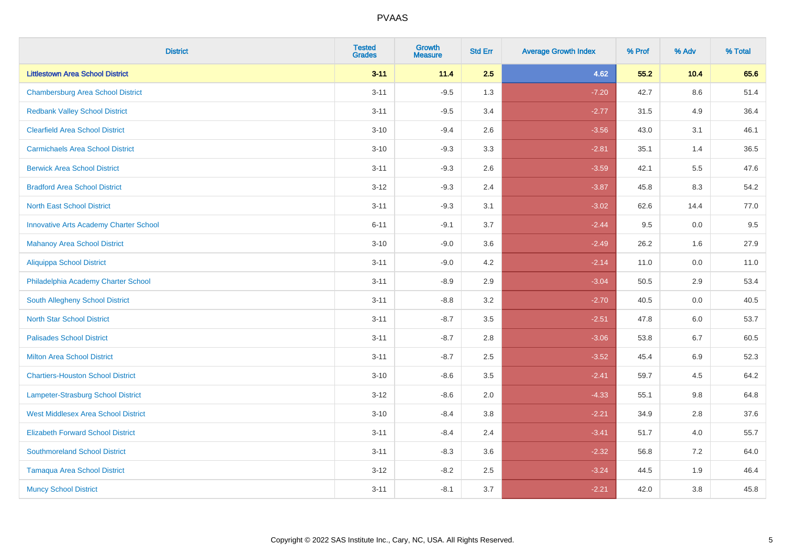| <b>District</b>                               | <b>Tested</b><br><b>Grades</b> | <b>Growth</b><br><b>Measure</b> | <b>Std Err</b> | <b>Average Growth Index</b> | % Prof | % Adv   | % Total |
|-----------------------------------------------|--------------------------------|---------------------------------|----------------|-----------------------------|--------|---------|---------|
| <b>Littlestown Area School District</b>       | $3 - 11$                       | 11.4                            | 2.5            | 4.62                        | 55.2   | 10.4    | 65.6    |
| <b>Chambersburg Area School District</b>      | $3 - 11$                       | $-9.5$                          | 1.3            | $-7.20$                     | 42.7   | $8.6\,$ | 51.4    |
| <b>Redbank Valley School District</b>         | $3 - 11$                       | $-9.5$                          | 3.4            | $-2.77$                     | 31.5   | 4.9     | 36.4    |
| <b>Clearfield Area School District</b>        | $3 - 10$                       | $-9.4$                          | 2.6            | $-3.56$                     | 43.0   | 3.1     | 46.1    |
| <b>Carmichaels Area School District</b>       | $3 - 10$                       | $-9.3$                          | 3.3            | $-2.81$                     | 35.1   | 1.4     | 36.5    |
| <b>Berwick Area School District</b>           | $3 - 11$                       | $-9.3$                          | 2.6            | $-3.59$                     | 42.1   | 5.5     | 47.6    |
| <b>Bradford Area School District</b>          | $3-12$                         | $-9.3$                          | 2.4            | $-3.87$                     | 45.8   | 8.3     | 54.2    |
| <b>North East School District</b>             | $3 - 11$                       | $-9.3$                          | 3.1            | $-3.02$                     | 62.6   | 14.4    | 77.0    |
| <b>Innovative Arts Academy Charter School</b> | $6 - 11$                       | $-9.1$                          | 3.7            | $-2.44$                     | 9.5    | 0.0     | 9.5     |
| <b>Mahanoy Area School District</b>           | $3 - 10$                       | $-9.0$                          | 3.6            | $-2.49$                     | 26.2   | 1.6     | 27.9    |
| <b>Aliquippa School District</b>              | $3 - 11$                       | $-9.0$                          | 4.2            | $-2.14$                     | 11.0   | 0.0     | 11.0    |
| Philadelphia Academy Charter School           | $3 - 11$                       | $-8.9$                          | 2.9            | $-3.04$                     | 50.5   | 2.9     | 53.4    |
| South Allegheny School District               | $3 - 11$                       | $-8.8$                          | 3.2            | $-2.70$                     | 40.5   | 0.0     | 40.5    |
| <b>North Star School District</b>             | $3 - 11$                       | $-8.7$                          | 3.5            | $-2.51$                     | 47.8   | 6.0     | 53.7    |
| <b>Palisades School District</b>              | $3 - 11$                       | $-8.7$                          | 2.8            | $-3.06$                     | 53.8   | 6.7     | 60.5    |
| <b>Milton Area School District</b>            | $3 - 11$                       | $-8.7$                          | 2.5            | $-3.52$                     | 45.4   | 6.9     | 52.3    |
| <b>Chartiers-Houston School District</b>      | $3 - 10$                       | $-8.6$                          | 3.5            | $-2.41$                     | 59.7   | 4.5     | 64.2    |
| Lampeter-Strasburg School District            | $3-12$                         | $-8.6$                          | 2.0            | $-4.33$                     | 55.1   | 9.8     | 64.8    |
| <b>West Middlesex Area School District</b>    | $3 - 10$                       | $-8.4$                          | 3.8            | $-2.21$                     | 34.9   | 2.8     | 37.6    |
| <b>Elizabeth Forward School District</b>      | $3 - 11$                       | $-8.4$                          | 2.4            | $-3.41$                     | 51.7   | 4.0     | 55.7    |
| <b>Southmoreland School District</b>          | $3 - 11$                       | $-8.3$                          | 3.6            | $-2.32$                     | 56.8   | 7.2     | 64.0    |
| <b>Tamaqua Area School District</b>           | $3-12$                         | $-8.2$                          | 2.5            | $-3.24$                     | 44.5   | 1.9     | 46.4    |
| <b>Muncy School District</b>                  | $3 - 11$                       | $-8.1$                          | 3.7            | $-2.21$                     | 42.0   | 3.8     | 45.8    |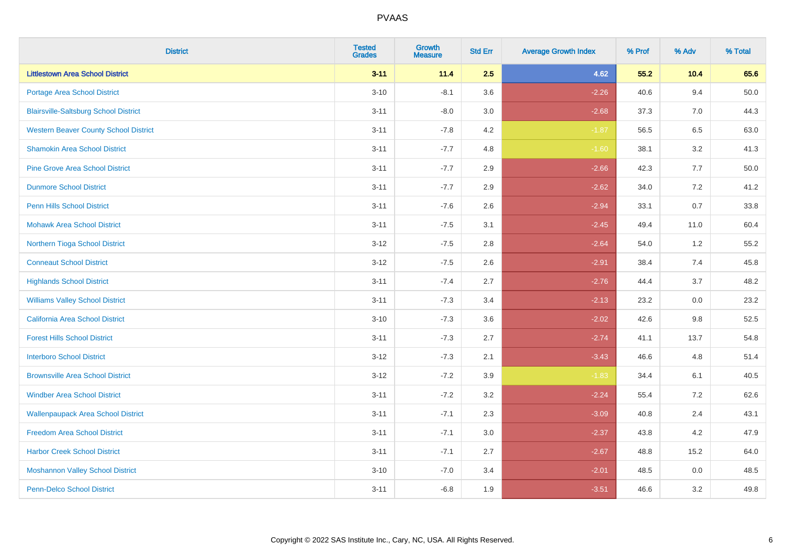| <b>District</b>                              | <b>Tested</b><br><b>Grades</b> | <b>Growth</b><br><b>Measure</b> | <b>Std Err</b> | <b>Average Growth Index</b> | % Prof | % Adv | % Total  |
|----------------------------------------------|--------------------------------|---------------------------------|----------------|-----------------------------|--------|-------|----------|
| <b>Littlestown Area School District</b>      | $3 - 11$                       | 11.4                            | 2.5            | 4.62                        | 55.2   | 10.4  | 65.6     |
| <b>Portage Area School District</b>          | $3 - 10$                       | $-8.1$                          | 3.6            | $-2.26$                     | 40.6   | 9.4   | $50.0\,$ |
| <b>Blairsville-Saltsburg School District</b> | $3 - 11$                       | $-8.0$                          | 3.0            | $-2.68$                     | 37.3   | 7.0   | 44.3     |
| <b>Western Beaver County School District</b> | $3 - 11$                       | $-7.8$                          | 4.2            | $-1.87$                     | 56.5   | 6.5   | 63.0     |
| <b>Shamokin Area School District</b>         | $3 - 11$                       | $-7.7$                          | 4.8            | $-1.60$                     | 38.1   | 3.2   | 41.3     |
| <b>Pine Grove Area School District</b>       | $3 - 11$                       | $-7.7$                          | 2.9            | $-2.66$                     | 42.3   | 7.7   | 50.0     |
| <b>Dunmore School District</b>               | $3 - 11$                       | $-7.7$                          | 2.9            | $-2.62$                     | 34.0   | 7.2   | 41.2     |
| <b>Penn Hills School District</b>            | $3 - 11$                       | $-7.6$                          | 2.6            | $-2.94$                     | 33.1   | 0.7   | 33.8     |
| <b>Mohawk Area School District</b>           | $3 - 11$                       | $-7.5$                          | 3.1            | $-2.45$                     | 49.4   | 11.0  | 60.4     |
| Northern Tioga School District               | $3 - 12$                       | $-7.5$                          | 2.8            | $-2.64$                     | 54.0   | 1.2   | 55.2     |
| <b>Conneaut School District</b>              | $3-12$                         | $-7.5$                          | 2.6            | $-2.91$                     | 38.4   | 7.4   | 45.8     |
| <b>Highlands School District</b>             | $3 - 11$                       | $-7.4$                          | 2.7            | $-2.76$                     | 44.4   | 3.7   | 48.2     |
| <b>Williams Valley School District</b>       | $3 - 11$                       | $-7.3$                          | 3.4            | $-2.13$                     | 23.2   | 0.0   | 23.2     |
| <b>California Area School District</b>       | $3 - 10$                       | $-7.3$                          | 3.6            | $-2.02$                     | 42.6   | 9.8   | 52.5     |
| <b>Forest Hills School District</b>          | $3 - 11$                       | $-7.3$                          | 2.7            | $-2.74$                     | 41.1   | 13.7  | 54.8     |
| <b>Interboro School District</b>             | $3 - 12$                       | $-7.3$                          | 2.1            | $-3.43$                     | 46.6   | 4.8   | 51.4     |
| <b>Brownsville Area School District</b>      | $3 - 12$                       | $-7.2$                          | 3.9            | $-1.83$                     | 34.4   | 6.1   | 40.5     |
| <b>Windber Area School District</b>          | $3 - 11$                       | $-7.2$                          | 3.2            | $-2.24$                     | 55.4   | 7.2   | 62.6     |
| <b>Wallenpaupack Area School District</b>    | $3 - 11$                       | $-7.1$                          | 2.3            | $-3.09$                     | 40.8   | 2.4   | 43.1     |
| <b>Freedom Area School District</b>          | $3 - 11$                       | $-7.1$                          | 3.0            | $-2.37$                     | 43.8   | 4.2   | 47.9     |
| <b>Harbor Creek School District</b>          | $3 - 11$                       | $-7.1$                          | 2.7            | $-2.67$                     | 48.8   | 15.2  | 64.0     |
| <b>Moshannon Valley School District</b>      | $3 - 10$                       | $-7.0$                          | 3.4            | $-2.01$                     | 48.5   | 0.0   | 48.5     |
| <b>Penn-Delco School District</b>            | $3 - 11$                       | $-6.8$                          | 1.9            | $-3.51$                     | 46.6   | 3.2   | 49.8     |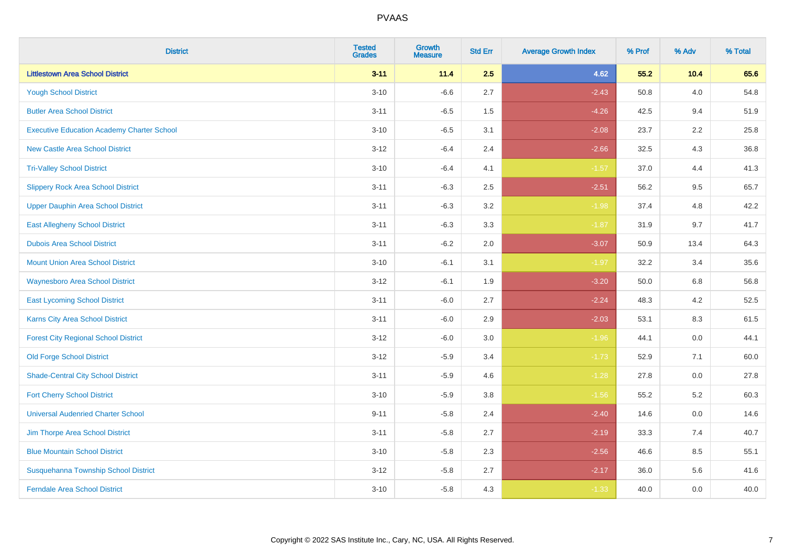| <b>District</b>                                   | <b>Tested</b><br><b>Grades</b> | <b>Growth</b><br><b>Measure</b> | <b>Std Err</b> | <b>Average Growth Index</b> | % Prof | % Adv   | % Total |
|---------------------------------------------------|--------------------------------|---------------------------------|----------------|-----------------------------|--------|---------|---------|
| <b>Littlestown Area School District</b>           | $3 - 11$                       | 11.4                            | 2.5            | 4.62                        | 55.2   | 10.4    | 65.6    |
| <b>Yough School District</b>                      | $3 - 10$                       | $-6.6$                          | 2.7            | $-2.43$                     | 50.8   | 4.0     | 54.8    |
| <b>Butler Area School District</b>                | $3 - 11$                       | $-6.5$                          | 1.5            | $-4.26$                     | 42.5   | 9.4     | 51.9    |
| <b>Executive Education Academy Charter School</b> | $3 - 10$                       | $-6.5$                          | 3.1            | $-2.08$                     | 23.7   | $2.2\,$ | 25.8    |
| <b>New Castle Area School District</b>            | $3 - 12$                       | $-6.4$                          | 2.4            | $-2.66$                     | 32.5   | 4.3     | 36.8    |
| <b>Tri-Valley School District</b>                 | $3 - 10$                       | $-6.4$                          | 4.1            | $-1.57$                     | 37.0   | 4.4     | 41.3    |
| <b>Slippery Rock Area School District</b>         | $3 - 11$                       | $-6.3$                          | 2.5            | $-2.51$                     | 56.2   | 9.5     | 65.7    |
| <b>Upper Dauphin Area School District</b>         | $3 - 11$                       | $-6.3$                          | 3.2            | $-1.98$                     | 37.4   | 4.8     | 42.2    |
| <b>East Allegheny School District</b>             | $3 - 11$                       | $-6.3$                          | 3.3            | $-1.87$                     | 31.9   | 9.7     | 41.7    |
| <b>Dubois Area School District</b>                | $3 - 11$                       | $-6.2$                          | 2.0            | $-3.07$                     | 50.9   | 13.4    | 64.3    |
| <b>Mount Union Area School District</b>           | $3 - 10$                       | $-6.1$                          | 3.1            | $-1.97$                     | 32.2   | 3.4     | 35.6    |
| <b>Waynesboro Area School District</b>            | $3 - 12$                       | $-6.1$                          | 1.9            | $-3.20$                     | 50.0   | 6.8     | 56.8    |
| <b>East Lycoming School District</b>              | $3 - 11$                       | $-6.0$                          | 2.7            | $-2.24$                     | 48.3   | 4.2     | 52.5    |
| Karns City Area School District                   | $3 - 11$                       | $-6.0$                          | 2.9            | $-2.03$                     | 53.1   | 8.3     | 61.5    |
| <b>Forest City Regional School District</b>       | $3-12$                         | $-6.0$                          | $3.0\,$        | $-1.96$                     | 44.1   | $0.0\,$ | 44.1    |
| <b>Old Forge School District</b>                  | $3 - 12$                       | $-5.9$                          | 3.4            | $-1.73$                     | 52.9   | 7.1     | 60.0    |
| <b>Shade-Central City School District</b>         | $3 - 11$                       | $-5.9$                          | 4.6            | $-1.28$                     | 27.8   | 0.0     | 27.8    |
| <b>Fort Cherry School District</b>                | $3 - 10$                       | $-5.9$                          | 3.8            | $-1.56$                     | 55.2   | $5.2\,$ | 60.3    |
| <b>Universal Audenried Charter School</b>         | $9 - 11$                       | $-5.8$                          | 2.4            | $-2.40$                     | 14.6   | 0.0     | 14.6    |
| Jim Thorpe Area School District                   | $3 - 11$                       | $-5.8$                          | 2.7            | $-2.19$                     | 33.3   | 7.4     | 40.7    |
| <b>Blue Mountain School District</b>              | $3 - 10$                       | $-5.8$                          | 2.3            | $-2.56$                     | 46.6   | 8.5     | 55.1    |
| Susquehanna Township School District              | $3 - 12$                       | $-5.8$                          | 2.7            | $-2.17$                     | 36.0   | 5.6     | 41.6    |
| <b>Ferndale Area School District</b>              | $3 - 10$                       | $-5.8$                          | 4.3            | $-1.33$                     | 40.0   | 0.0     | 40.0    |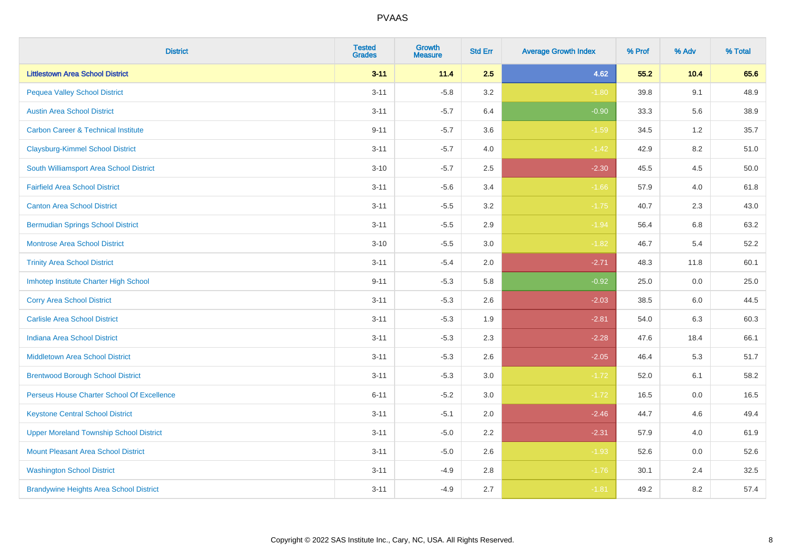| <b>District</b>                                | <b>Tested</b><br><b>Grades</b> | <b>Growth</b><br><b>Measure</b> | <b>Std Err</b> | <b>Average Growth Index</b> | % Prof | % Adv   | % Total |
|------------------------------------------------|--------------------------------|---------------------------------|----------------|-----------------------------|--------|---------|---------|
| <b>Littlestown Area School District</b>        | $3 - 11$                       | 11.4                            | 2.5            | 4.62                        | 55.2   | 10.4    | 65.6    |
| <b>Pequea Valley School District</b>           | $3 - 11$                       | $-5.8$                          | 3.2            | $-1.80$                     | 39.8   | 9.1     | 48.9    |
| <b>Austin Area School District</b>             | $3 - 11$                       | $-5.7$                          | 6.4            | $-0.90$                     | 33.3   | 5.6     | 38.9    |
| <b>Carbon Career &amp; Technical Institute</b> | $9 - 11$                       | $-5.7$                          | 3.6            | $-1.59$                     | 34.5   | $1.2\,$ | 35.7    |
| <b>Claysburg-Kimmel School District</b>        | $3 - 11$                       | $-5.7$                          | 4.0            | $-1.42$                     | 42.9   | 8.2     | 51.0    |
| South Williamsport Area School District        | $3 - 10$                       | $-5.7$                          | 2.5            | $-2.30$                     | 45.5   | 4.5     | 50.0    |
| <b>Fairfield Area School District</b>          | $3 - 11$                       | $-5.6$                          | 3.4            | $-1.66$                     | 57.9   | 4.0     | 61.8    |
| <b>Canton Area School District</b>             | $3 - 11$                       | $-5.5$                          | 3.2            | $-1.75$                     | 40.7   | 2.3     | 43.0    |
| <b>Bermudian Springs School District</b>       | $3 - 11$                       | $-5.5$                          | 2.9            | $-1.94$                     | 56.4   | 6.8     | 63.2    |
| <b>Montrose Area School District</b>           | $3 - 10$                       | $-5.5$                          | 3.0            | $-1.82$                     | 46.7   | 5.4     | 52.2    |
| <b>Trinity Area School District</b>            | $3 - 11$                       | $-5.4$                          | 2.0            | $-2.71$                     | 48.3   | 11.8    | 60.1    |
| Imhotep Institute Charter High School          | $9 - 11$                       | $-5.3$                          | 5.8            | $-0.92$                     | 25.0   | 0.0     | 25.0    |
| <b>Corry Area School District</b>              | $3 - 11$                       | $-5.3$                          | 2.6            | $-2.03$                     | 38.5   | 6.0     | 44.5    |
| <b>Carlisle Area School District</b>           | $3 - 11$                       | $-5.3$                          | 1.9            | $-2.81$                     | 54.0   | 6.3     | 60.3    |
| <b>Indiana Area School District</b>            | $3 - 11$                       | $-5.3$                          | 2.3            | $-2.28$                     | 47.6   | 18.4    | 66.1    |
| <b>Middletown Area School District</b>         | $3 - 11$                       | $-5.3$                          | 2.6            | $-2.05$                     | 46.4   | 5.3     | 51.7    |
| <b>Brentwood Borough School District</b>       | $3 - 11$                       | $-5.3$                          | 3.0            | $-1.72$                     | 52.0   | 6.1     | 58.2    |
| Perseus House Charter School Of Excellence     | $6 - 11$                       | $-5.2$                          | 3.0            | $-1.72$                     | 16.5   | 0.0     | 16.5    |
| <b>Keystone Central School District</b>        | $3 - 11$                       | $-5.1$                          | 2.0            | $-2.46$                     | 44.7   | 4.6     | 49.4    |
| <b>Upper Moreland Township School District</b> | $3 - 11$                       | $-5.0$                          | 2.2            | $-2.31$                     | 57.9   | 4.0     | 61.9    |
| <b>Mount Pleasant Area School District</b>     | $3 - 11$                       | $-5.0$                          | 2.6            | $-1.93$                     | 52.6   | 0.0     | 52.6    |
| <b>Washington School District</b>              | $3 - 11$                       | $-4.9$                          | 2.8            | $-1.76$                     | 30.1   | 2.4     | 32.5    |
| <b>Brandywine Heights Area School District</b> | $3 - 11$                       | $-4.9$                          | 2.7            | $-1.81$                     | 49.2   | 8.2     | 57.4    |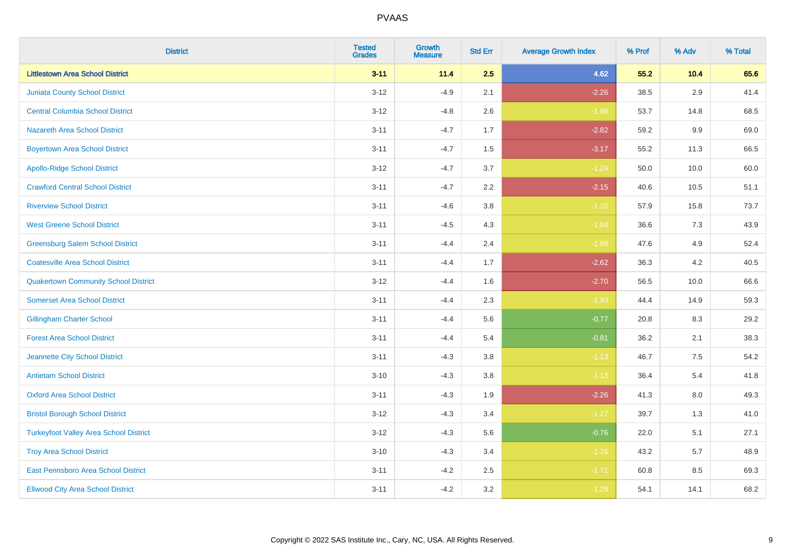| <b>District</b>                               | <b>Tested</b><br><b>Grades</b> | <b>Growth</b><br><b>Measure</b> | <b>Std Err</b> | <b>Average Growth Index</b> | % Prof | % Adv   | % Total |
|-----------------------------------------------|--------------------------------|---------------------------------|----------------|-----------------------------|--------|---------|---------|
| <b>Littlestown Area School District</b>       | $3 - 11$                       | 11.4                            | 2.5            | 4.62                        | 55.2   | 10.4    | 65.6    |
| <b>Juniata County School District</b>         | $3 - 12$                       | $-4.9$                          | 2.1            | $-2.26$                     | 38.5   | 2.9     | 41.4    |
| <b>Central Columbia School District</b>       | $3 - 12$                       | $-4.8$                          | 2.6            | $-1.86$                     | 53.7   | 14.8    | 68.5    |
| Nazareth Area School District                 | $3 - 11$                       | $-4.7$                          | 1.7            | $-2.82$                     | 59.2   | 9.9     | 69.0    |
| <b>Boyertown Area School District</b>         | $3 - 11$                       | $-4.7$                          | 1.5            | $-3.17$                     | 55.2   | 11.3    | 66.5    |
| <b>Apollo-Ridge School District</b>           | $3-12$                         | $-4.7$                          | 3.7            | $-1.24$                     | 50.0   | 10.0    | 60.0    |
| <b>Crawford Central School District</b>       | $3 - 11$                       | $-4.7$                          | 2.2            | $-2.15$                     | 40.6   | 10.5    | 51.1    |
| <b>Riverview School District</b>              | $3 - 11$                       | $-4.6$                          | 3.8            | $-1.20$                     | 57.9   | 15.8    | 73.7    |
| <b>West Greene School District</b>            | $3 - 11$                       | $-4.5$                          | 4.3            | $-1.04$                     | 36.6   | $7.3$   | 43.9    |
| <b>Greensburg Salem School District</b>       | $3 - 11$                       | $-4.4$                          | 2.4            | $-1.88$                     | 47.6   | 4.9     | 52.4    |
| <b>Coatesville Area School District</b>       | $3 - 11$                       | $-4.4$                          | 1.7            | $-2.62$                     | 36.3   | 4.2     | 40.5    |
| <b>Quakertown Community School District</b>   | $3 - 12$                       | $-4.4$                          | 1.6            | $-2.70$                     | 56.5   | 10.0    | 66.6    |
| <b>Somerset Area School District</b>          | $3 - 11$                       | $-4.4$                          | 2.3            | $-1.93$                     | 44.4   | 14.9    | 59.3    |
| <b>Gillingham Charter School</b>              | $3 - 11$                       | $-4.4$                          | 5.6            | $-0.77$                     | 20.8   | 8.3     | 29.2    |
| <b>Forest Area School District</b>            | $3 - 11$                       | $-4.4$                          | 5.4            | $-0.81$                     | 36.2   | 2.1     | 38.3    |
| Jeannette City School District                | $3 - 11$                       | $-4.3$                          | 3.8            | $-1.13$                     | 46.7   | 7.5     | 54.2    |
| <b>Antietam School District</b>               | $3 - 10$                       | $-4.3$                          | 3.8            | $-1.13$                     | 36.4   | 5.4     | 41.8    |
| <b>Oxford Area School District</b>            | $3 - 11$                       | $-4.3$                          | 1.9            | $-2.26$                     | 41.3   | $8.0\,$ | 49.3    |
| <b>Bristol Borough School District</b>        | $3 - 12$                       | $-4.3$                          | 3.4            | $-1.27$                     | 39.7   | 1.3     | 41.0    |
| <b>Turkeyfoot Valley Area School District</b> | $3-12$                         | $-4.3$                          | 5.6            | $-0.76$                     | 22.0   | 5.1     | 27.1    |
| <b>Troy Area School District</b>              | $3 - 10$                       | $-4.3$                          | 3.4            | $-1.26$                     | 43.2   | 5.7     | 48.9    |
| East Pennsboro Area School District           | $3 - 11$                       | $-4.2$                          | 2.5            | $-1.71$                     | 60.8   | 8.5     | 69.3    |
| <b>Ellwood City Area School District</b>      | $3 - 11$                       | $-4.2$                          | 3.2            | $-1.29$                     | 54.1   | 14.1    | 68.2    |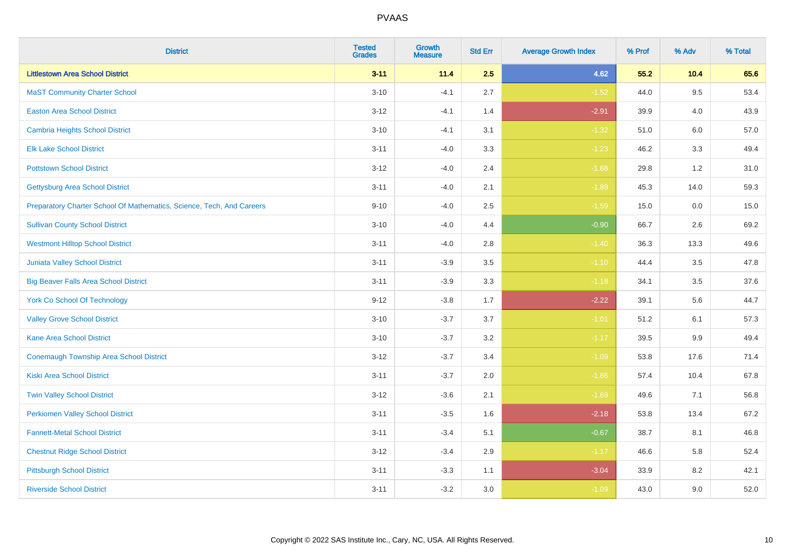| <b>District</b>                                                       | <b>Tested</b><br><b>Grades</b> | <b>Growth</b><br><b>Measure</b> | <b>Std Err</b> | <b>Average Growth Index</b> | % Prof | % Adv   | % Total |
|-----------------------------------------------------------------------|--------------------------------|---------------------------------|----------------|-----------------------------|--------|---------|---------|
| <b>Littlestown Area School District</b>                               | $3 - 11$                       | 11.4                            | 2.5            | 4.62                        | 55.2   | 10.4    | 65.6    |
| <b>MaST Community Charter School</b>                                  | $3 - 10$                       | $-4.1$                          | 2.7            | $-1.52$                     | 44.0   | 9.5     | 53.4    |
| <b>Easton Area School District</b>                                    | $3 - 12$                       | $-4.1$                          | 1.4            | $-2.91$                     | 39.9   | 4.0     | 43.9    |
| <b>Cambria Heights School District</b>                                | $3 - 10$                       | $-4.1$                          | 3.1            | $-1.32$                     | 51.0   | $6.0\,$ | 57.0    |
| <b>Elk Lake School District</b>                                       | $3 - 11$                       | $-4.0$                          | 3.3            | $-1.23$                     | 46.2   | 3.3     | 49.4    |
| <b>Pottstown School District</b>                                      | $3 - 12$                       | $-4.0$                          | 2.4            | $-1.68$                     | 29.8   | 1.2     | 31.0    |
| <b>Gettysburg Area School District</b>                                | $3 - 11$                       | $-4.0$                          | 2.1            | $-1.89$                     | 45.3   | 14.0    | 59.3    |
| Preparatory Charter School Of Mathematics, Science, Tech, And Careers | $9 - 10$                       | $-4.0$                          | 2.5            | $-1.59$                     | 15.0   | 0.0     | 15.0    |
| <b>Sullivan County School District</b>                                | $3 - 10$                       | $-4.0$                          | 4.4            | $-0.90$                     | 66.7   | 2.6     | 69.2    |
| <b>Westmont Hilltop School District</b>                               | $3 - 11$                       | $-4.0$                          | 2.8            | $-1.40$                     | 36.3   | 13.3    | 49.6    |
| <b>Juniata Valley School District</b>                                 | $3 - 11$                       | $-3.9$                          | 3.5            | $-1.10$                     | 44.4   | 3.5     | 47.8    |
| <b>Big Beaver Falls Area School District</b>                          | $3 - 11$                       | $-3.9$                          | 3.3            | $-1.18$                     | 34.1   | 3.5     | 37.6    |
| <b>York Co School Of Technology</b>                                   | $9 - 12$                       | $-3.8$                          | 1.7            | $-2.22$                     | 39.1   | 5.6     | 44.7    |
| <b>Valley Grove School District</b>                                   | $3 - 10$                       | $-3.7$                          | 3.7            | $-1.01$                     | 51.2   | 6.1     | 57.3    |
| <b>Kane Area School District</b>                                      | $3 - 10$                       | $-3.7$                          | 3.2            | $-1.17$                     | 39.5   | 9.9     | 49.4    |
| <b>Conemaugh Township Area School District</b>                        | $3 - 12$                       | $-3.7$                          | 3.4            | $-1.09$                     | 53.8   | 17.6    | 71.4    |
| <b>Kiski Area School District</b>                                     | $3 - 11$                       | $-3.7$                          | 2.0            | $-1.86$                     | 57.4   | 10.4    | 67.8    |
| <b>Twin Valley School District</b>                                    | $3 - 12$                       | $-3.6$                          | 2.1            | $-1.69$                     | 49.6   | 7.1     | 56.8    |
| <b>Perkiomen Valley School District</b>                               | $3 - 11$                       | $-3.5$                          | 1.6            | $-2.18$                     | 53.8   | 13.4    | 67.2    |
| <b>Fannett-Metal School District</b>                                  | $3 - 11$                       | $-3.4$                          | 5.1            | $-0.67$                     | 38.7   | 8.1     | 46.8    |
| <b>Chestnut Ridge School District</b>                                 | $3 - 12$                       | $-3.4$                          | 2.9            | $-1.17$                     | 46.6   | 5.8     | 52.4    |
| <b>Pittsburgh School District</b>                                     | $3 - 11$                       | $-3.3$                          | 1.1            | $-3.04$                     | 33.9   | 8.2     | 42.1    |
| <b>Riverside School District</b>                                      | $3 - 11$                       | $-3.2$                          | 3.0            | $-1.09$                     | 43.0   | 9.0     | 52.0    |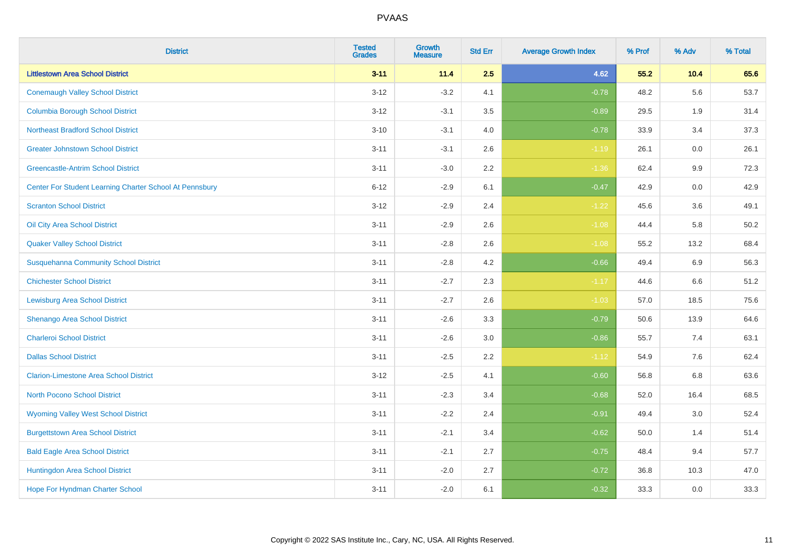| <b>District</b>                                         | <b>Tested</b><br><b>Grades</b> | <b>Growth</b><br><b>Measure</b> | <b>Std Err</b> | <b>Average Growth Index</b> | % Prof | % Adv | % Total |
|---------------------------------------------------------|--------------------------------|---------------------------------|----------------|-----------------------------|--------|-------|---------|
| <b>Littlestown Area School District</b>                 | $3 - 11$                       | 11.4                            | 2.5            | 4.62                        | 55.2   | 10.4  | 65.6    |
| <b>Conemaugh Valley School District</b>                 | $3 - 12$                       | $-3.2$                          | 4.1            | $-0.78$                     | 48.2   | 5.6   | 53.7    |
| <b>Columbia Borough School District</b>                 | $3 - 12$                       | $-3.1$                          | 3.5            | $-0.89$                     | 29.5   | 1.9   | 31.4    |
| <b>Northeast Bradford School District</b>               | $3 - 10$                       | $-3.1$                          | 4.0            | $-0.78$                     | 33.9   | 3.4   | 37.3    |
| <b>Greater Johnstown School District</b>                | $3 - 11$                       | $-3.1$                          | 2.6            | $-1.19$                     | 26.1   | 0.0   | 26.1    |
| <b>Greencastle-Antrim School District</b>               | $3 - 11$                       | $-3.0$                          | 2.2            | $-1.36$                     | 62.4   | 9.9   | 72.3    |
| Center For Student Learning Charter School At Pennsbury | $6 - 12$                       | $-2.9$                          | 6.1            | $-0.47$                     | 42.9   | 0.0   | 42.9    |
| <b>Scranton School District</b>                         | $3 - 12$                       | $-2.9$                          | 2.4            | $-1.22$                     | 45.6   | 3.6   | 49.1    |
| Oil City Area School District                           | $3 - 11$                       | $-2.9$                          | 2.6            | $-1.08$                     | 44.4   | 5.8   | 50.2    |
| <b>Quaker Valley School District</b>                    | $3 - 11$                       | $-2.8$                          | 2.6            | $-1.08$                     | 55.2   | 13.2  | 68.4    |
| <b>Susquehanna Community School District</b>            | $3 - 11$                       | $-2.8$                          | 4.2            | $-0.66$                     | 49.4   | 6.9   | 56.3    |
| <b>Chichester School District</b>                       | $3 - 11$                       | $-2.7$                          | 2.3            | $-1.17$                     | 44.6   | 6.6   | 51.2    |
| <b>Lewisburg Area School District</b>                   | $3 - 11$                       | $-2.7$                          | 2.6            | $-1.03$                     | 57.0   | 18.5  | 75.6    |
| Shenango Area School District                           | $3 - 11$                       | $-2.6$                          | 3.3            | $-0.79$                     | 50.6   | 13.9  | 64.6    |
| <b>Charleroi School District</b>                        | $3 - 11$                       | $-2.6$                          | 3.0            | $-0.86$                     | 55.7   | 7.4   | 63.1    |
| <b>Dallas School District</b>                           | $3 - 11$                       | $-2.5$                          | 2.2            | $-1.12$                     | 54.9   | 7.6   | 62.4    |
| <b>Clarion-Limestone Area School District</b>           | $3 - 12$                       | $-2.5$                          | 4.1            | $-0.60$                     | 56.8   | 6.8   | 63.6    |
| <b>North Pocono School District</b>                     | $3 - 11$                       | $-2.3$                          | 3.4            | $-0.68$                     | 52.0   | 16.4  | 68.5    |
| <b>Wyoming Valley West School District</b>              | $3 - 11$                       | $-2.2$                          | 2.4            | $-0.91$                     | 49.4   | 3.0   | 52.4    |
| <b>Burgettstown Area School District</b>                | $3 - 11$                       | $-2.1$                          | 3.4            | $-0.62$                     | 50.0   | 1.4   | 51.4    |
| <b>Bald Eagle Area School District</b>                  | $3 - 11$                       | $-2.1$                          | 2.7            | $-0.75$                     | 48.4   | 9.4   | 57.7    |
| Huntingdon Area School District                         | $3 - 11$                       | $-2.0$                          | 2.7            | $-0.72$                     | 36.8   | 10.3  | 47.0    |
| Hope For Hyndman Charter School                         | $3 - 11$                       | $-2.0$                          | 6.1            | $-0.32$                     | 33.3   | 0.0   | 33.3    |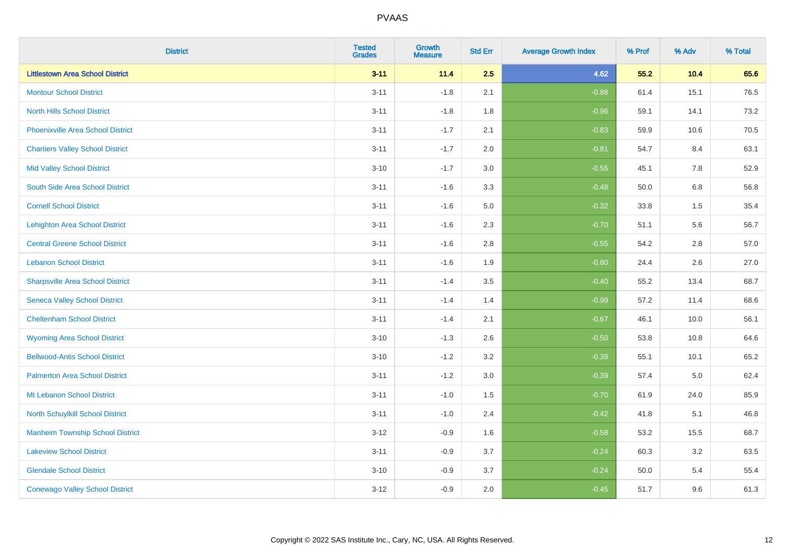| <b>District</b>                          | <b>Tested</b><br><b>Grades</b> | <b>Growth</b><br><b>Measure</b> | <b>Std Err</b> | <b>Average Growth Index</b> | % Prof | % Adv | % Total |
|------------------------------------------|--------------------------------|---------------------------------|----------------|-----------------------------|--------|-------|---------|
| <b>Littlestown Area School District</b>  | $3 - 11$                       | 11.4                            | 2.5            | 4.62                        | 55.2   | 10.4  | 65.6    |
| <b>Montour School District</b>           | $3 - 11$                       | $-1.8$                          | 2.1            | $-0.88$                     | 61.4   | 15.1  | 76.5    |
| <b>North Hills School District</b>       | $3 - 11$                       | $-1.8$                          | 1.8            | $-0.96$                     | 59.1   | 14.1  | 73.2    |
| <b>Phoenixville Area School District</b> | $3 - 11$                       | $-1.7$                          | 2.1            | $-0.83$                     | 59.9   | 10.6  | 70.5    |
| <b>Chartiers Valley School District</b>  | $3 - 11$                       | $-1.7$                          | 2.0            | $-0.81$                     | 54.7   | 8.4   | 63.1    |
| <b>Mid Valley School District</b>        | $3 - 10$                       | $-1.7$                          | 3.0            | $-0.55$                     | 45.1   | 7.8   | 52.9    |
| South Side Area School District          | $3 - 11$                       | $-1.6$                          | 3.3            | $-0.48$                     | 50.0   | 6.8   | 56.8    |
| <b>Cornell School District</b>           | $3 - 11$                       | $-1.6$                          | 5.0            | $-0.32$                     | 33.8   | 1.5   | 35.4    |
| <b>Lehighton Area School District</b>    | $3 - 11$                       | $-1.6$                          | 2.3            | $-0.70$                     | 51.1   | 5.6   | 56.7    |
| <b>Central Greene School District</b>    | $3 - 11$                       | $-1.6$                          | 2.8            | $-0.55$                     | 54.2   | 2.8   | 57.0    |
| <b>Lebanon School District</b>           | $3 - 11$                       | $-1.6$                          | 1.9            | $-0.80$                     | 24.4   | 2.6   | 27.0    |
| <b>Sharpsville Area School District</b>  | $3 - 11$                       | $-1.4$                          | 3.5            | $-0.40$                     | 55.2   | 13.4  | 68.7    |
| <b>Seneca Valley School District</b>     | $3 - 11$                       | $-1.4$                          | 1.4            | $-0.99$                     | 57.2   | 11.4  | 68.6    |
| <b>Cheltenham School District</b>        | $3 - 11$                       | $-1.4$                          | 2.1            | $-0.67$                     | 46.1   | 10.0  | 56.1    |
| <b>Wyoming Area School District</b>      | $3 - 10$                       | $-1.3$                          | 2.6            | $-0.50$                     | 53.8   | 10.8  | 64.6    |
| <b>Bellwood-Antis School District</b>    | $3 - 10$                       | $-1.2$                          | 3.2            | $-0.39$                     | 55.1   | 10.1  | 65.2    |
| <b>Palmerton Area School District</b>    | $3 - 11$                       | $-1.2$                          | 3.0            | $-0.39$                     | 57.4   | 5.0   | 62.4    |
| Mt Lebanon School District               | $3 - 11$                       | $-1.0$                          | 1.5            | $-0.70$                     | 61.9   | 24.0  | 85.9    |
| <b>North Schuylkill School District</b>  | $3 - 11$                       | $-1.0$                          | 2.4            | $-0.42$                     | 41.8   | 5.1   | 46.8    |
| <b>Manheim Township School District</b>  | $3 - 12$                       | $-0.9$                          | 1.6            | $-0.58$                     | 53.2   | 15.5  | 68.7    |
| <b>Lakeview School District</b>          | $3 - 11$                       | $-0.9$                          | 3.7            | $-0.24$                     | 60.3   | 3.2   | 63.5    |
| <b>Glendale School District</b>          | $3 - 10$                       | $-0.9$                          | 3.7            | $-0.24$                     | 50.0   | 5.4   | 55.4    |
| <b>Conewago Valley School District</b>   | $3 - 12$                       | $-0.9$                          | 2.0            | $-0.45$                     | 51.7   | 9.6   | 61.3    |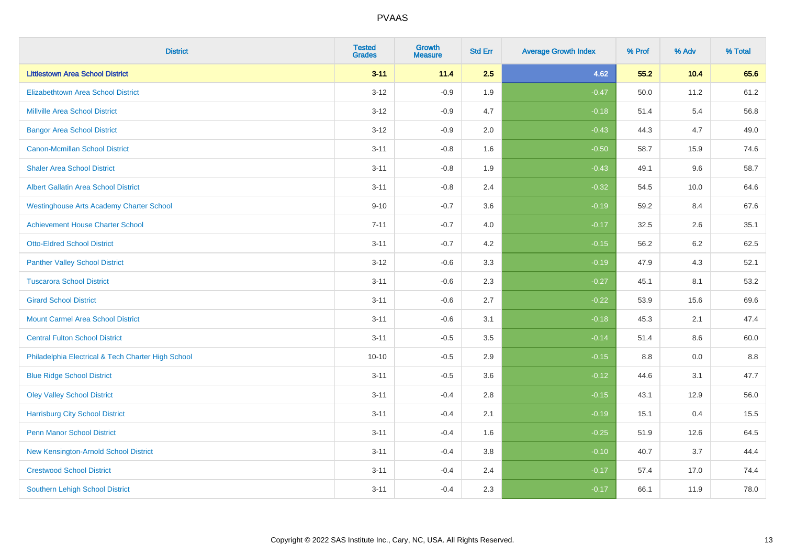| <b>District</b>                                    | <b>Tested</b><br><b>Grades</b> | <b>Growth</b><br><b>Measure</b> | <b>Std Err</b> | <b>Average Growth Index</b> | % Prof | % Adv | % Total |
|----------------------------------------------------|--------------------------------|---------------------------------|----------------|-----------------------------|--------|-------|---------|
| <b>Littlestown Area School District</b>            | $3 - 11$                       | 11.4                            | 2.5            | 4.62                        | 55.2   | 10.4  | 65.6    |
| <b>Elizabethtown Area School District</b>          | $3 - 12$                       | $-0.9$                          | 1.9            | $-0.47$                     | 50.0   | 11.2  | 61.2    |
| <b>Millville Area School District</b>              | $3 - 12$                       | $-0.9$                          | 4.7            | $-0.18$                     | 51.4   | 5.4   | 56.8    |
| <b>Bangor Area School District</b>                 | $3 - 12$                       | $-0.9$                          | 2.0            | $-0.43$                     | 44.3   | 4.7   | 49.0    |
| Canon-Mcmillan School District                     | $3 - 11$                       | $-0.8$                          | 1.6            | $-0.50$                     | 58.7   | 15.9  | 74.6    |
| <b>Shaler Area School District</b>                 | $3 - 11$                       | $-0.8$                          | 1.9            | $-0.43$                     | 49.1   | 9.6   | 58.7    |
| <b>Albert Gallatin Area School District</b>        | $3 - 11$                       | $-0.8$                          | 2.4            | $-0.32$                     | 54.5   | 10.0  | 64.6    |
| <b>Westinghouse Arts Academy Charter School</b>    | $9 - 10$                       | $-0.7$                          | 3.6            | $-0.19$                     | 59.2   | 8.4   | 67.6    |
| <b>Achievement House Charter School</b>            | $7 - 11$                       | $-0.7$                          | 4.0            | $-0.17$                     | 32.5   | 2.6   | 35.1    |
| <b>Otto-Eldred School District</b>                 | $3 - 11$                       | $-0.7$                          | 4.2            | $-0.15$                     | 56.2   | 6.2   | 62.5    |
| <b>Panther Valley School District</b>              | $3 - 12$                       | $-0.6$                          | 3.3            | $-0.19$                     | 47.9   | 4.3   | 52.1    |
| <b>Tuscarora School District</b>                   | $3 - 11$                       | $-0.6$                          | 2.3            | $-0.27$                     | 45.1   | 8.1   | 53.2    |
| <b>Girard School District</b>                      | $3 - 11$                       | $-0.6$                          | 2.7            | $-0.22$                     | 53.9   | 15.6  | 69.6    |
| <b>Mount Carmel Area School District</b>           | $3 - 11$                       | $-0.6$                          | 3.1            | $-0.18$                     | 45.3   | 2.1   | 47.4    |
| <b>Central Fulton School District</b>              | $3 - 11$                       | $-0.5$                          | 3.5            | $-0.14$                     | 51.4   | 8.6   | 60.0    |
| Philadelphia Electrical & Tech Charter High School | $10 - 10$                      | $-0.5$                          | 2.9            | $-0.15$                     | 8.8    | 0.0   | 8.8     |
| <b>Blue Ridge School District</b>                  | $3 - 11$                       | $-0.5$                          | 3.6            | $-0.12$                     | 44.6   | 3.1   | 47.7    |
| <b>Oley Valley School District</b>                 | $3 - 11$                       | $-0.4$                          | 2.8            | $-0.15$                     | 43.1   | 12.9  | 56.0    |
| <b>Harrisburg City School District</b>             | $3 - 11$                       | $-0.4$                          | 2.1            | $-0.19$                     | 15.1   | 0.4   | 15.5    |
| <b>Penn Manor School District</b>                  | $3 - 11$                       | $-0.4$                          | 1.6            | $-0.25$                     | 51.9   | 12.6  | 64.5    |
| New Kensington-Arnold School District              | $3 - 11$                       | $-0.4$                          | 3.8            | $-0.10$                     | 40.7   | 3.7   | 44.4    |
| <b>Crestwood School District</b>                   | $3 - 11$                       | $-0.4$                          | 2.4            | $-0.17$                     | 57.4   | 17.0  | 74.4    |
| <b>Southern Lehigh School District</b>             | $3 - 11$                       | $-0.4$                          | 2.3            | $-0.17$                     | 66.1   | 11.9  | 78.0    |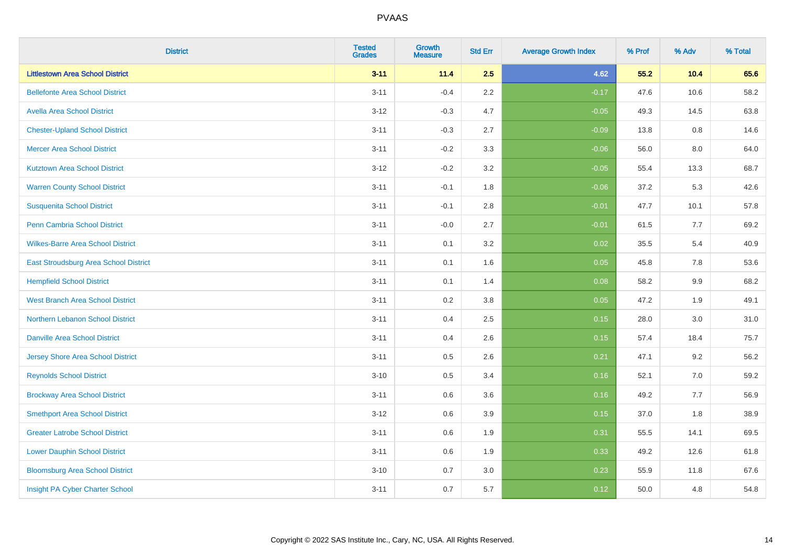| <b>District</b>                          | <b>Tested</b><br><b>Grades</b> | <b>Growth</b><br><b>Measure</b> | <b>Std Err</b> | <b>Average Growth Index</b> | % Prof | % Adv | % Total |
|------------------------------------------|--------------------------------|---------------------------------|----------------|-----------------------------|--------|-------|---------|
| <b>Littlestown Area School District</b>  | $3 - 11$                       | 11.4                            | 2.5            | 4.62                        | 55.2   | 10.4  | 65.6    |
| <b>Bellefonte Area School District</b>   | $3 - 11$                       | $-0.4$                          | $2.2\,$        | $-0.17$                     | 47.6   | 10.6  | 58.2    |
| <b>Avella Area School District</b>       | $3 - 12$                       | $-0.3$                          | 4.7            | $-0.05$                     | 49.3   | 14.5  | 63.8    |
| <b>Chester-Upland School District</b>    | $3 - 11$                       | $-0.3$                          | 2.7            | $-0.09$                     | 13.8   | 0.8   | 14.6    |
| <b>Mercer Area School District</b>       | $3 - 11$                       | $-0.2$                          | 3.3            | $-0.06$                     | 56.0   | 8.0   | 64.0    |
| <b>Kutztown Area School District</b>     | $3 - 12$                       | $-0.2$                          | 3.2            | $-0.05$                     | 55.4   | 13.3  | 68.7    |
| <b>Warren County School District</b>     | $3 - 11$                       | $-0.1$                          | 1.8            | $-0.06$                     | 37.2   | 5.3   | 42.6    |
| <b>Susquenita School District</b>        | $3 - 11$                       | $-0.1$                          | $2.8\,$        | $-0.01$                     | 47.7   | 10.1  | 57.8    |
| Penn Cambria School District             | $3 - 11$                       | $-0.0$                          | 2.7            | $-0.01$                     | 61.5   | 7.7   | 69.2    |
| <b>Wilkes-Barre Area School District</b> | $3 - 11$                       | 0.1                             | 3.2            | 0.02                        | 35.5   | 5.4   | 40.9    |
| East Stroudsburg Area School District    | $3 - 11$                       | 0.1                             | 1.6            | 0.05                        | 45.8   | 7.8   | 53.6    |
| <b>Hempfield School District</b>         | $3 - 11$                       | 0.1                             | 1.4            | 0.08                        | 58.2   | 9.9   | 68.2    |
| <b>West Branch Area School District</b>  | $3 - 11$                       | 0.2                             | $3.8\,$        | 0.05                        | 47.2   | 1.9   | 49.1    |
| Northern Lebanon School District         | $3 - 11$                       | 0.4                             | 2.5            | 0.15                        | 28.0   | 3.0   | 31.0    |
| <b>Danville Area School District</b>     | $3 - 11$                       | 0.4                             | 2.6            | 0.15                        | 57.4   | 18.4  | 75.7    |
| <b>Jersey Shore Area School District</b> | $3 - 11$                       | 0.5                             | 2.6            | 0.21                        | 47.1   | 9.2   | 56.2    |
| <b>Reynolds School District</b>          | $3 - 10$                       | 0.5                             | 3.4            | 0.16                        | 52.1   | 7.0   | 59.2    |
| <b>Brockway Area School District</b>     | $3 - 11$                       | 0.6                             | 3.6            | 0.16                        | 49.2   | 7.7   | 56.9    |
| <b>Smethport Area School District</b>    | $3 - 12$                       | 0.6                             | 3.9            | 0.15                        | 37.0   | 1.8   | 38.9    |
| <b>Greater Latrobe School District</b>   | $3 - 11$                       | 0.6                             | 1.9            | 0.31                        | 55.5   | 14.1  | 69.5    |
| <b>Lower Dauphin School District</b>     | $3 - 11$                       | 0.6                             | 1.9            | 0.33                        | 49.2   | 12.6  | 61.8    |
| <b>Bloomsburg Area School District</b>   | $3 - 10$                       | 0.7                             | 3.0            | 0.23                        | 55.9   | 11.8  | 67.6    |
| Insight PA Cyber Charter School          | $3 - 11$                       | 0.7                             | 5.7            | 0.12                        | 50.0   | 4.8   | 54.8    |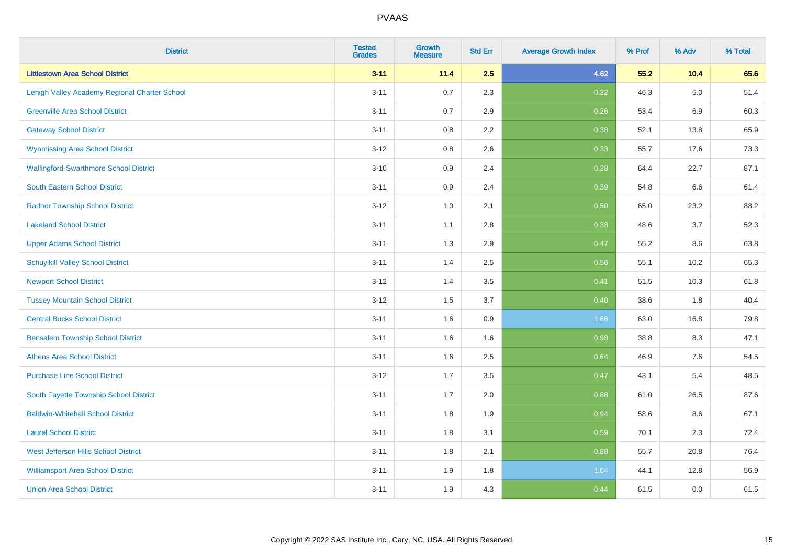| <b>District</b>                               | <b>Tested</b><br><b>Grades</b> | <b>Growth</b><br><b>Measure</b> | <b>Std Err</b> | <b>Average Growth Index</b> | % Prof | % Adv   | % Total |
|-----------------------------------------------|--------------------------------|---------------------------------|----------------|-----------------------------|--------|---------|---------|
| <b>Littlestown Area School District</b>       | $3 - 11$                       | 11.4                            | 2.5            | 4.62                        | 55.2   | 10.4    | 65.6    |
| Lehigh Valley Academy Regional Charter School | $3 - 11$                       | 0.7                             | 2.3            | 0.32                        | 46.3   | $5.0\,$ | 51.4    |
| <b>Greenville Area School District</b>        | $3 - 11$                       | 0.7                             | 2.9            | 0.26                        | 53.4   | 6.9     | 60.3    |
| <b>Gateway School District</b>                | $3 - 11$                       | $0.8\,$                         | 2.2            | 0.38                        | 52.1   | 13.8    | 65.9    |
| <b>Wyomissing Area School District</b>        | $3 - 12$                       | 0.8                             | 2.6            | 0.33                        | 55.7   | 17.6    | 73.3    |
| <b>Wallingford-Swarthmore School District</b> | $3 - 10$                       | 0.9                             | 2.4            | 0.38                        | 64.4   | 22.7    | 87.1    |
| <b>South Eastern School District</b>          | $3 - 11$                       | 0.9                             | 2.4            | 0.39                        | 54.8   | 6.6     | 61.4    |
| <b>Radnor Township School District</b>        | $3 - 12$                       | 1.0                             | 2.1            | 0.50                        | 65.0   | 23.2    | 88.2    |
| <b>Lakeland School District</b>               | $3 - 11$                       | 1.1                             | 2.8            | 0.38                        | 48.6   | 3.7     | 52.3    |
| <b>Upper Adams School District</b>            | $3 - 11$                       | 1.3                             | 2.9            | 0.47                        | 55.2   | 8.6     | 63.8    |
| <b>Schuylkill Valley School District</b>      | $3 - 11$                       | 1.4                             | 2.5            | 0.56                        | 55.1   | 10.2    | 65.3    |
| <b>Newport School District</b>                | $3 - 12$                       | 1.4                             | 3.5            | 0.41                        | 51.5   | 10.3    | 61.8    |
| <b>Tussey Mountain School District</b>        | $3 - 12$                       | 1.5                             | 3.7            | 0.40                        | 38.6   | 1.8     | 40.4    |
| <b>Central Bucks School District</b>          | $3 - 11$                       | 1.6                             | 0.9            | 1.66                        | 63.0   | 16.8    | 79.8    |
| <b>Bensalem Township School District</b>      | $3 - 11$                       | 1.6                             | 1.6            | 0.98                        | 38.8   | 8.3     | 47.1    |
| <b>Athens Area School District</b>            | $3 - 11$                       | 1.6                             | 2.5            | 0.64                        | 46.9   | 7.6     | 54.5    |
| <b>Purchase Line School District</b>          | $3 - 12$                       | 1.7                             | 3.5            | 0.47                        | 43.1   | 5.4     | 48.5    |
| South Fayette Township School District        | $3 - 11$                       | 1.7                             | 2.0            | 0.88                        | 61.0   | 26.5    | 87.6    |
| <b>Baldwin-Whitehall School District</b>      | $3 - 11$                       | 1.8                             | 1.9            | 0.94                        | 58.6   | 8.6     | 67.1    |
| <b>Laurel School District</b>                 | $3 - 11$                       | 1.8                             | 3.1            | 0.59                        | 70.1   | 2.3     | 72.4    |
| <b>West Jefferson Hills School District</b>   | $3 - 11$                       | 1.8                             | 2.1            | 0.88                        | 55.7   | 20.8    | 76.4    |
| <b>Williamsport Area School District</b>      | $3 - 11$                       | 1.9                             | 1.8            | 1.04                        | 44.1   | 12.8    | 56.9    |
| <b>Union Area School District</b>             | $3 - 11$                       | 1.9                             | 4.3            | 0.44                        | 61.5   | 0.0     | 61.5    |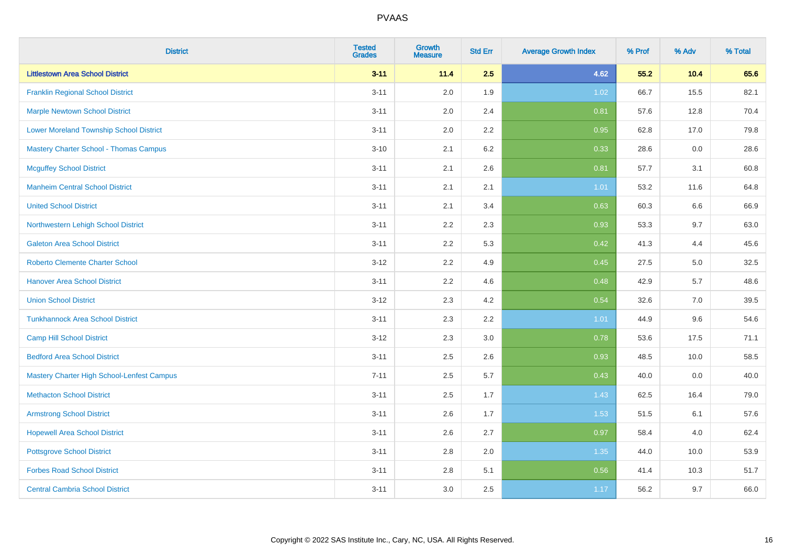| <b>District</b>                                | <b>Tested</b><br><b>Grades</b> | <b>Growth</b><br><b>Measure</b> | <b>Std Err</b> | <b>Average Growth Index</b> | % Prof | % Adv | % Total |
|------------------------------------------------|--------------------------------|---------------------------------|----------------|-----------------------------|--------|-------|---------|
| <b>Littlestown Area School District</b>        | $3 - 11$                       | 11.4                            | 2.5            | 4.62                        | 55.2   | 10.4  | 65.6    |
| <b>Franklin Regional School District</b>       | $3 - 11$                       | 2.0                             | 1.9            | 1.02                        | 66.7   | 15.5  | 82.1    |
| <b>Marple Newtown School District</b>          | $3 - 11$                       | 2.0                             | 2.4            | 0.81                        | 57.6   | 12.8  | 70.4    |
| <b>Lower Moreland Township School District</b> | $3 - 11$                       | 2.0                             | 2.2            | 0.95                        | 62.8   | 17.0  | 79.8    |
| <b>Mastery Charter School - Thomas Campus</b>  | $3 - 10$                       | 2.1                             | 6.2            | 0.33                        | 28.6   | 0.0   | 28.6    |
| <b>Mcguffey School District</b>                | $3 - 11$                       | 2.1                             | 2.6            | 0.81                        | 57.7   | 3.1   | 60.8    |
| <b>Manheim Central School District</b>         | $3 - 11$                       | 2.1                             | 2.1            | 1.01                        | 53.2   | 11.6  | 64.8    |
| <b>United School District</b>                  | $3 - 11$                       | 2.1                             | 3.4            | 0.63                        | 60.3   | 6.6   | 66.9    |
| Northwestern Lehigh School District            | $3 - 11$                       | 2.2                             | 2.3            | 0.93                        | 53.3   | 9.7   | 63.0    |
| <b>Galeton Area School District</b>            | $3 - 11$                       | 2.2                             | 5.3            | 0.42                        | 41.3   | 4.4   | 45.6    |
| <b>Roberto Clemente Charter School</b>         | $3 - 12$                       | 2.2                             | 4.9            | 0.45                        | 27.5   | 5.0   | 32.5    |
| <b>Hanover Area School District</b>            | $3 - 11$                       | 2.2                             | 4.6            | 0.48                        | 42.9   | 5.7   | 48.6    |
| <b>Union School District</b>                   | $3 - 12$                       | 2.3                             | 4.2            | 0.54                        | 32.6   | 7.0   | 39.5    |
| <b>Tunkhannock Area School District</b>        | $3 - 11$                       | 2.3                             | 2.2            | 1.01                        | 44.9   | 9.6   | 54.6    |
| <b>Camp Hill School District</b>               | $3 - 12$                       | 2.3                             | 3.0            | 0.78                        | 53.6   | 17.5  | 71.1    |
| <b>Bedford Area School District</b>            | $3 - 11$                       | 2.5                             | 2.6            | 0.93                        | 48.5   | 10.0  | 58.5    |
| Mastery Charter High School-Lenfest Campus     | $7 - 11$                       | 2.5                             | 5.7            | 0.43                        | 40.0   | 0.0   | 40.0    |
| <b>Methacton School District</b>               | $3 - 11$                       | 2.5                             | 1.7            | 1.43                        | 62.5   | 16.4  | 79.0    |
| <b>Armstrong School District</b>               | $3 - 11$                       | 2.6                             | 1.7            | 1.53                        | 51.5   | 6.1   | 57.6    |
| <b>Hopewell Area School District</b>           | $3 - 11$                       | 2.6                             | 2.7            | 0.97                        | 58.4   | 4.0   | 62.4    |
| <b>Pottsgrove School District</b>              | $3 - 11$                       | 2.8                             | 2.0            | 1.35                        | 44.0   | 10.0  | 53.9    |
| <b>Forbes Road School District</b>             | $3 - 11$                       | $2.8\,$                         | 5.1            | 0.56                        | 41.4   | 10.3  | 51.7    |
| <b>Central Cambria School District</b>         | $3 - 11$                       | 3.0                             | 2.5            | 1.17                        | 56.2   | 9.7   | 66.0    |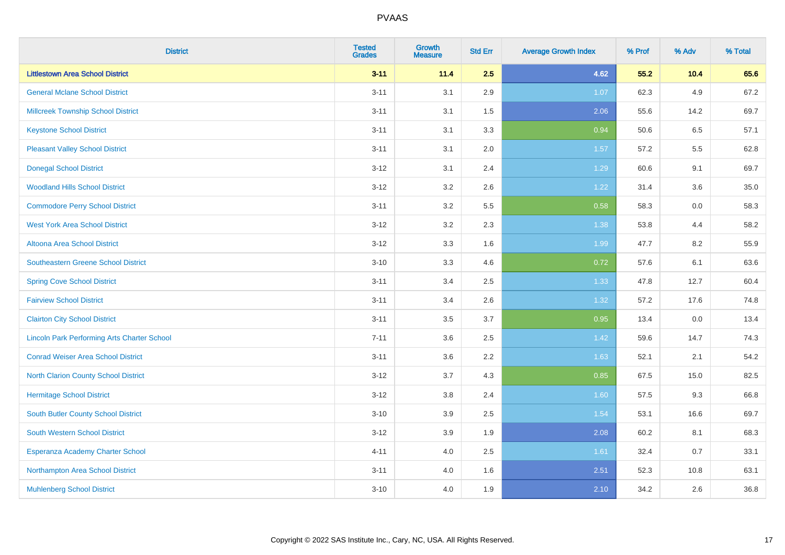| <b>District</b>                                    | <b>Tested</b><br><b>Grades</b> | <b>Growth</b><br><b>Measure</b> | <b>Std Err</b> | <b>Average Growth Index</b> | % Prof | % Adv | % Total |
|----------------------------------------------------|--------------------------------|---------------------------------|----------------|-----------------------------|--------|-------|---------|
| <b>Littlestown Area School District</b>            | $3 - 11$                       | 11.4                            | 2.5            | 4.62                        | 55.2   | 10.4  | 65.6    |
| <b>General Mclane School District</b>              | $3 - 11$                       | 3.1                             | 2.9            | 1.07                        | 62.3   | 4.9   | 67.2    |
| <b>Millcreek Township School District</b>          | $3 - 11$                       | 3.1                             | 1.5            | 2.06                        | 55.6   | 14.2  | 69.7    |
| <b>Keystone School District</b>                    | $3 - 11$                       | 3.1                             | 3.3            | 0.94                        | 50.6   | 6.5   | 57.1    |
| <b>Pleasant Valley School District</b>             | $3 - 11$                       | 3.1                             | 2.0            | 1.57                        | 57.2   | 5.5   | 62.8    |
| <b>Donegal School District</b>                     | $3 - 12$                       | 3.1                             | 2.4            | 1.29                        | 60.6   | 9.1   | 69.7    |
| <b>Woodland Hills School District</b>              | $3 - 12$                       | 3.2                             | 2.6            | 1.22                        | 31.4   | 3.6   | 35.0    |
| <b>Commodore Perry School District</b>             | $3 - 11$                       | 3.2                             | 5.5            | 0.58                        | 58.3   | 0.0   | 58.3    |
| <b>West York Area School District</b>              | $3 - 12$                       | 3.2                             | 2.3            | 1.38                        | 53.8   | 4.4   | 58.2    |
| <b>Altoona Area School District</b>                | $3 - 12$                       | 3.3                             | 1.6            | 1.99                        | 47.7   | 8.2   | 55.9    |
| <b>Southeastern Greene School District</b>         | $3 - 10$                       | 3.3                             | 4.6            | 0.72                        | 57.6   | 6.1   | 63.6    |
| <b>Spring Cove School District</b>                 | $3 - 11$                       | 3.4                             | 2.5            | 1.33                        | 47.8   | 12.7  | 60.4    |
| <b>Fairview School District</b>                    | $3 - 11$                       | 3.4                             | 2.6            | 1.32                        | 57.2   | 17.6  | 74.8    |
| <b>Clairton City School District</b>               | $3 - 11$                       | 3.5                             | 3.7            | 0.95                        | 13.4   | 0.0   | 13.4    |
| <b>Lincoln Park Performing Arts Charter School</b> | $7 - 11$                       | 3.6                             | 2.5            | 1.42                        | 59.6   | 14.7  | 74.3    |
| <b>Conrad Weiser Area School District</b>          | $3 - 11$                       | 3.6                             | 2.2            | 1.63                        | 52.1   | 2.1   | 54.2    |
| <b>North Clarion County School District</b>        | $3 - 12$                       | 3.7                             | 4.3            | 0.85                        | 67.5   | 15.0  | 82.5    |
| <b>Hermitage School District</b>                   | $3 - 12$                       | 3.8                             | 2.4            | 1.60                        | 57.5   | 9.3   | 66.8    |
| South Butler County School District                | $3 - 10$                       | 3.9                             | 2.5            | 1.54                        | 53.1   | 16.6  | 69.7    |
| South Western School District                      | $3 - 12$                       | 3.9                             | 1.9            | 2.08                        | 60.2   | 8.1   | 68.3    |
| Esperanza Academy Charter School                   | $4 - 11$                       | 4.0                             | 2.5            | 1.61                        | 32.4   | 0.7   | 33.1    |
| Northampton Area School District                   | $3 - 11$                       | 4.0                             | 1.6            | 2.51                        | 52.3   | 10.8  | 63.1    |
| <b>Muhlenberg School District</b>                  | $3 - 10$                       | 4.0                             | 1.9            | 2.10                        | 34.2   | 2.6   | 36.8    |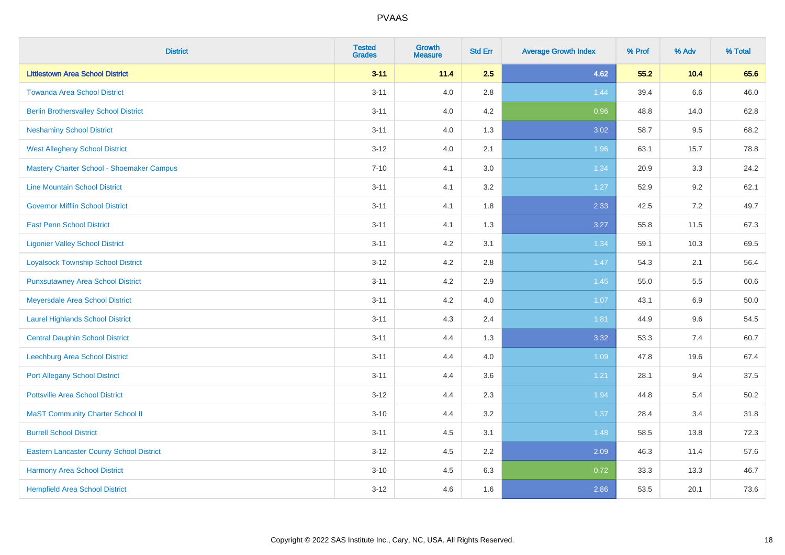| <b>District</b>                                 | <b>Tested</b><br><b>Grades</b> | <b>Growth</b><br><b>Measure</b> | <b>Std Err</b> | <b>Average Growth Index</b> | % Prof | % Adv   | % Total |
|-------------------------------------------------|--------------------------------|---------------------------------|----------------|-----------------------------|--------|---------|---------|
| <b>Littlestown Area School District</b>         | $3 - 11$                       | 11.4                            | 2.5            | 4.62                        | 55.2   | 10.4    | 65.6    |
| <b>Towanda Area School District</b>             | $3 - 11$                       | 4.0                             | 2.8            | 1.44                        | 39.4   | $6.6\,$ | 46.0    |
| <b>Berlin Brothersvalley School District</b>    | $3 - 11$                       | 4.0                             | 4.2            | 0.96                        | 48.8   | 14.0    | 62.8    |
| <b>Neshaminy School District</b>                | $3 - 11$                       | 4.0                             | 1.3            | 3.02                        | 58.7   | 9.5     | 68.2    |
| <b>West Allegheny School District</b>           | $3-12$                         | 4.0                             | 2.1            | 1.96                        | 63.1   | 15.7    | 78.8    |
| Mastery Charter School - Shoemaker Campus       | $7 - 10$                       | 4.1                             | 3.0            | 1.34                        | 20.9   | 3.3     | 24.2    |
| <b>Line Mountain School District</b>            | $3 - 11$                       | 4.1                             | 3.2            | $1.27$                      | 52.9   | 9.2     | 62.1    |
| <b>Governor Mifflin School District</b>         | $3 - 11$                       | 4.1                             | 1.8            | 2.33                        | 42.5   | 7.2     | 49.7    |
| <b>East Penn School District</b>                | $3 - 11$                       | 4.1                             | 1.3            | 3.27                        | 55.8   | 11.5    | 67.3    |
| <b>Ligonier Valley School District</b>          | $3 - 11$                       | 4.2                             | 3.1            | 1.34                        | 59.1   | 10.3    | 69.5    |
| <b>Loyalsock Township School District</b>       | $3 - 12$                       | 4.2                             | 2.8            | 1.47                        | 54.3   | 2.1     | 56.4    |
| <b>Punxsutawney Area School District</b>        | $3 - 11$                       | 4.2                             | 2.9            | 1.45                        | 55.0   | 5.5     | 60.6    |
| Meyersdale Area School District                 | $3 - 11$                       | 4.2                             | 4.0            | 1.07                        | 43.1   | 6.9     | 50.0    |
| <b>Laurel Highlands School District</b>         | $3 - 11$                       | 4.3                             | 2.4            | 1.81                        | 44.9   | 9.6     | 54.5    |
| <b>Central Dauphin School District</b>          | $3 - 11$                       | 4.4                             | 1.3            | 3.32                        | 53.3   | 7.4     | 60.7    |
| Leechburg Area School District                  | $3 - 11$                       | 4.4                             | 4.0            | 1.09                        | 47.8   | 19.6    | 67.4    |
| <b>Port Allegany School District</b>            | $3 - 11$                       | 4.4                             | 3.6            | 1.21                        | 28.1   | 9.4     | 37.5    |
| <b>Pottsville Area School District</b>          | $3-12$                         | 4.4                             | 2.3            | 1.94                        | 44.8   | 5.4     | 50.2    |
| <b>MaST Community Charter School II</b>         | $3 - 10$                       | 4.4                             | 3.2            | 1.37                        | 28.4   | 3.4     | 31.8    |
| <b>Burrell School District</b>                  | $3 - 11$                       | 4.5                             | 3.1            | 1.48                        | 58.5   | 13.8    | 72.3    |
| <b>Eastern Lancaster County School District</b> | $3-12$                         | 4.5                             | 2.2            | 2.09                        | 46.3   | 11.4    | 57.6    |
| Harmony Area School District                    | $3 - 10$                       | 4.5                             | 6.3            | 0.72                        | 33.3   | 13.3    | 46.7    |
| <b>Hempfield Area School District</b>           | $3-12$                         | 4.6                             | 1.6            | 2.86                        | 53.5   | 20.1    | 73.6    |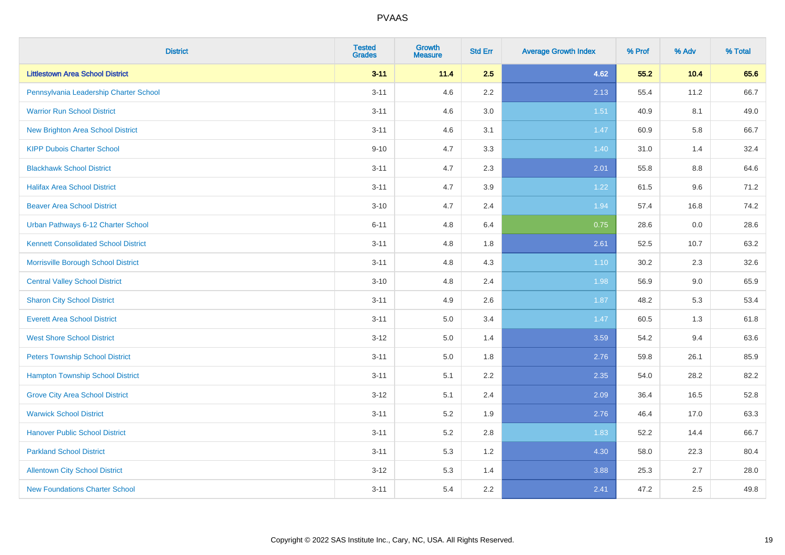| <b>District</b>                             | <b>Tested</b><br><b>Grades</b> | <b>Growth</b><br><b>Measure</b> | <b>Std Err</b> | <b>Average Growth Index</b> | % Prof | % Adv   | % Total |
|---------------------------------------------|--------------------------------|---------------------------------|----------------|-----------------------------|--------|---------|---------|
| <b>Littlestown Area School District</b>     | $3 - 11$                       | 11.4                            | 2.5            | 4.62                        | 55.2   | 10.4    | 65.6    |
| Pennsylvania Leadership Charter School      | $3 - 11$                       | 4.6                             | 2.2            | 2.13                        | 55.4   | 11.2    | 66.7    |
| <b>Warrior Run School District</b>          | $3 - 11$                       | 4.6                             | 3.0            | 1.51                        | 40.9   | 8.1     | 49.0    |
| New Brighton Area School District           | $3 - 11$                       | 4.6                             | 3.1            | 1.47                        | 60.9   | 5.8     | 66.7    |
| <b>KIPP Dubois Charter School</b>           | $9 - 10$                       | 4.7                             | 3.3            | 1.40                        | 31.0   | 1.4     | 32.4    |
| <b>Blackhawk School District</b>            | $3 - 11$                       | 4.7                             | 2.3            | 2.01                        | 55.8   | 8.8     | 64.6    |
| <b>Halifax Area School District</b>         | $3 - 11$                       | 4.7                             | 3.9            | 1.22                        | 61.5   | 9.6     | 71.2    |
| <b>Beaver Area School District</b>          | $3 - 10$                       | 4.7                             | 2.4            | 1.94                        | 57.4   | 16.8    | 74.2    |
| Urban Pathways 6-12 Charter School          | $6 - 11$                       | 4.8                             | 6.4            | 0.75                        | 28.6   | $0.0\,$ | 28.6    |
| <b>Kennett Consolidated School District</b> | $3 - 11$                       | 4.8                             | 1.8            | 2.61                        | 52.5   | 10.7    | 63.2    |
| Morrisville Borough School District         | $3 - 11$                       | 4.8                             | 4.3            | 1.10                        | 30.2   | 2.3     | 32.6    |
| <b>Central Valley School District</b>       | $3 - 10$                       | 4.8                             | 2.4            | 1.98                        | 56.9   | $9.0\,$ | 65.9    |
| <b>Sharon City School District</b>          | $3 - 11$                       | 4.9                             | 2.6            | 1.87                        | 48.2   | 5.3     | 53.4    |
| <b>Everett Area School District</b>         | $3 - 11$                       | 5.0                             | 3.4            | 1.47                        | 60.5   | 1.3     | 61.8    |
| <b>West Shore School District</b>           | $3-12$                         | $5.0\,$                         | 1.4            | 3.59                        | 54.2   | 9.4     | 63.6    |
| <b>Peters Township School District</b>      | $3 - 11$                       | 5.0                             | 1.8            | 2.76                        | 59.8   | 26.1    | 85.9    |
| <b>Hampton Township School District</b>     | $3 - 11$                       | 5.1                             | 2.2            | 2.35                        | 54.0   | 28.2    | 82.2    |
| <b>Grove City Area School District</b>      | $3-12$                         | 5.1                             | 2.4            | 2.09                        | 36.4   | 16.5    | 52.8    |
| <b>Warwick School District</b>              | $3 - 11$                       | 5.2                             | 1.9            | 2.76                        | 46.4   | 17.0    | 63.3    |
| <b>Hanover Public School District</b>       | $3 - 11$                       | 5.2                             | 2.8            | 1.83                        | 52.2   | 14.4    | 66.7    |
| <b>Parkland School District</b>             | $3 - 11$                       | 5.3                             | 1.2            | 4.30                        | 58.0   | 22.3    | 80.4    |
| <b>Allentown City School District</b>       | $3 - 12$                       | 5.3                             | 1.4            | 3.88                        | 25.3   | 2.7     | 28.0    |
| <b>New Foundations Charter School</b>       | $3 - 11$                       | 5.4                             | 2.2            | 2.41                        | 47.2   | 2.5     | 49.8    |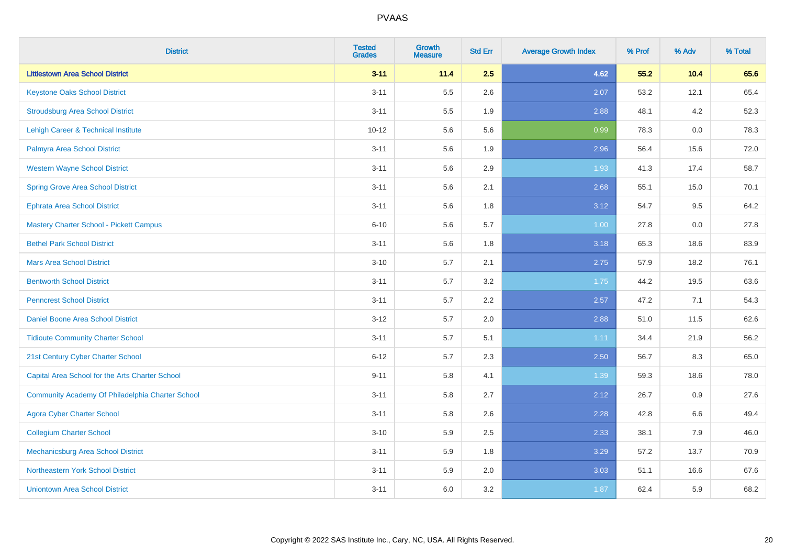| <b>District</b>                                  | <b>Tested</b><br><b>Grades</b> | <b>Growth</b><br><b>Measure</b> | <b>Std Err</b> | <b>Average Growth Index</b> | % Prof | % Adv | % Total |
|--------------------------------------------------|--------------------------------|---------------------------------|----------------|-----------------------------|--------|-------|---------|
| <b>Littlestown Area School District</b>          | $3 - 11$                       | 11.4                            | 2.5            | 4.62                        | 55.2   | 10.4  | 65.6    |
| <b>Keystone Oaks School District</b>             | $3 - 11$                       | 5.5                             | 2.6            | 2.07                        | 53.2   | 12.1  | 65.4    |
| <b>Stroudsburg Area School District</b>          | $3 - 11$                       | 5.5                             | 1.9            | 2.88                        | 48.1   | 4.2   | 52.3    |
| Lehigh Career & Technical Institute              | $10 - 12$                      | 5.6                             | 5.6            | 0.99                        | 78.3   | 0.0   | 78.3    |
| Palmyra Area School District                     | $3 - 11$                       | 5.6                             | 1.9            | 2.96                        | 56.4   | 15.6  | 72.0    |
| <b>Western Wayne School District</b>             | $3 - 11$                       | 5.6                             | 2.9            | 1.93                        | 41.3   | 17.4  | 58.7    |
| <b>Spring Grove Area School District</b>         | $3 - 11$                       | 5.6                             | 2.1            | 2.68                        | 55.1   | 15.0  | 70.1    |
| <b>Ephrata Area School District</b>              | $3 - 11$                       | 5.6                             | 1.8            | 3.12                        | 54.7   | 9.5   | 64.2    |
| <b>Mastery Charter School - Pickett Campus</b>   | $6 - 10$                       | 5.6                             | 5.7            | 1.00                        | 27.8   | 0.0   | 27.8    |
| <b>Bethel Park School District</b>               | $3 - 11$                       | 5.6                             | 1.8            | 3.18                        | 65.3   | 18.6  | 83.9    |
| <b>Mars Area School District</b>                 | $3 - 10$                       | 5.7                             | 2.1            | 2.75                        | 57.9   | 18.2  | 76.1    |
| <b>Bentworth School District</b>                 | $3 - 11$                       | 5.7                             | 3.2            | 1.75                        | 44.2   | 19.5  | 63.6    |
| <b>Penncrest School District</b>                 | $3 - 11$                       | 5.7                             | 2.2            | 2.57                        | 47.2   | 7.1   | 54.3    |
| Daniel Boone Area School District                | $3 - 12$                       | 5.7                             | 2.0            | 2.88                        | 51.0   | 11.5  | 62.6    |
| <b>Tidioute Community Charter School</b>         | $3 - 11$                       | 5.7                             | 5.1            | 1.11                        | 34.4   | 21.9  | 56.2    |
| 21st Century Cyber Charter School                | $6 - 12$                       | 5.7                             | 2.3            | 2.50                        | 56.7   | 8.3   | 65.0    |
| Capital Area School for the Arts Charter School  | $9 - 11$                       | 5.8                             | 4.1            | 1.39                        | 59.3   | 18.6  | 78.0    |
| Community Academy Of Philadelphia Charter School | $3 - 11$                       | 5.8                             | 2.7            | 2.12                        | 26.7   | 0.9   | 27.6    |
| <b>Agora Cyber Charter School</b>                | $3 - 11$                       | 5.8                             | 2.6            | 2.28                        | 42.8   | 6.6   | 49.4    |
| <b>Collegium Charter School</b>                  | $3 - 10$                       | 5.9                             | 2.5            | 2.33                        | 38.1   | 7.9   | 46.0    |
| <b>Mechanicsburg Area School District</b>        | $3 - 11$                       | 5.9                             | 1.8            | 3.29                        | 57.2   | 13.7  | 70.9    |
| Northeastern York School District                | $3 - 11$                       | 5.9                             | 2.0            | 3.03                        | 51.1   | 16.6  | 67.6    |
| <b>Uniontown Area School District</b>            | $3 - 11$                       | 6.0                             | 3.2            | 1.87                        | 62.4   | 5.9   | 68.2    |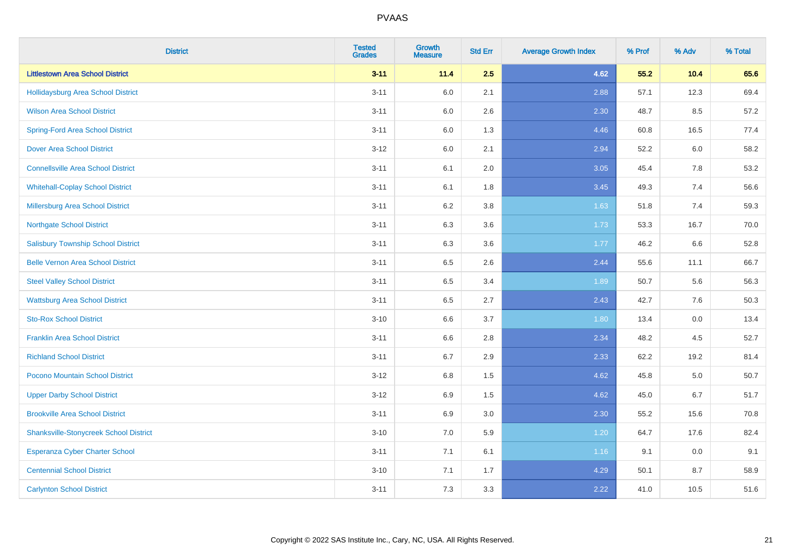| <b>District</b>                               | <b>Tested</b><br><b>Grades</b> | <b>Growth</b><br><b>Measure</b> | <b>Std Err</b> | <b>Average Growth Index</b> | % Prof | % Adv | % Total |
|-----------------------------------------------|--------------------------------|---------------------------------|----------------|-----------------------------|--------|-------|---------|
| <b>Littlestown Area School District</b>       | $3 - 11$                       | 11.4                            | 2.5            | 4.62                        | 55.2   | 10.4  | 65.6    |
| Hollidaysburg Area School District            | $3 - 11$                       | 6.0                             | 2.1            | 2.88                        | 57.1   | 12.3  | 69.4    |
| <b>Wilson Area School District</b>            | $3 - 11$                       | 6.0                             | 2.6            | 2.30                        | 48.7   | 8.5   | 57.2    |
| <b>Spring-Ford Area School District</b>       | $3 - 11$                       | 6.0                             | 1.3            | 4.46                        | 60.8   | 16.5  | 77.4    |
| <b>Dover Area School District</b>             | $3 - 12$                       | 6.0                             | 2.1            | 2.94                        | 52.2   | 6.0   | 58.2    |
| <b>Connellsville Area School District</b>     | $3 - 11$                       | 6.1                             | 2.0            | 3.05                        | 45.4   | 7.8   | 53.2    |
| <b>Whitehall-Coplay School District</b>       | $3 - 11$                       | 6.1                             | 1.8            | 3.45                        | 49.3   | 7.4   | 56.6    |
| <b>Millersburg Area School District</b>       | $3 - 11$                       | 6.2                             | 3.8            | 1.63                        | 51.8   | 7.4   | 59.3    |
| <b>Northgate School District</b>              | $3 - 11$                       | 6.3                             | 3.6            | 1.73                        | 53.3   | 16.7  | 70.0    |
| <b>Salisbury Township School District</b>     | $3 - 11$                       | 6.3                             | 3.6            | 1.77                        | 46.2   | 6.6   | 52.8    |
| <b>Belle Vernon Area School District</b>      | $3 - 11$                       | 6.5                             | 2.6            | 2.44                        | 55.6   | 11.1  | 66.7    |
| <b>Steel Valley School District</b>           | $3 - 11$                       | 6.5                             | 3.4            | 1.89                        | 50.7   | 5.6   | 56.3    |
| <b>Wattsburg Area School District</b>         | $3 - 11$                       | 6.5                             | 2.7            | 2.43                        | 42.7   | 7.6   | 50.3    |
| <b>Sto-Rox School District</b>                | $3 - 10$                       | 6.6                             | 3.7            | 1.80                        | 13.4   | 0.0   | 13.4    |
| <b>Franklin Area School District</b>          | $3 - 11$                       | 6.6                             | 2.8            | 2.34                        | 48.2   | 4.5   | 52.7    |
| <b>Richland School District</b>               | $3 - 11$                       | 6.7                             | 2.9            | 2.33                        | 62.2   | 19.2  | 81.4    |
| Pocono Mountain School District               | $3 - 12$                       | 6.8                             | 1.5            | 4.62                        | 45.8   | 5.0   | 50.7    |
| <b>Upper Darby School District</b>            | $3 - 12$                       | 6.9                             | 1.5            | 4.62                        | 45.0   | 6.7   | 51.7    |
| <b>Brookville Area School District</b>        | $3 - 11$                       | 6.9                             | 3.0            | 2.30                        | 55.2   | 15.6  | 70.8    |
| <b>Shanksville-Stonycreek School District</b> | $3 - 10$                       | 7.0                             | 5.9            | 1.20                        | 64.7   | 17.6  | 82.4    |
| <b>Esperanza Cyber Charter School</b>         | $3 - 11$                       | 7.1                             | 6.1            | 1.16                        | 9.1    | 0.0   | 9.1     |
| <b>Centennial School District</b>             | $3 - 10$                       | 7.1                             | 1.7            | 4.29                        | 50.1   | 8.7   | 58.9    |
| <b>Carlynton School District</b>              | $3 - 11$                       | 7.3                             | 3.3            | 2.22                        | 41.0   | 10.5  | 51.6    |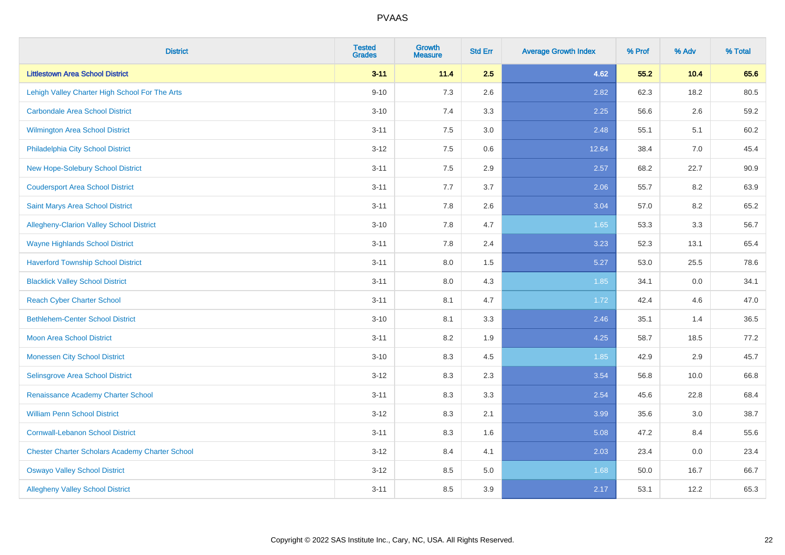| <b>District</b>                                        | <b>Tested</b><br><b>Grades</b> | <b>Growth</b><br><b>Measure</b> | <b>Std Err</b> | <b>Average Growth Index</b> | % Prof | % Adv | % Total |
|--------------------------------------------------------|--------------------------------|---------------------------------|----------------|-----------------------------|--------|-------|---------|
| <b>Littlestown Area School District</b>                | $3 - 11$                       | 11.4                            | 2.5            | 4.62                        | 55.2   | 10.4  | 65.6    |
| Lehigh Valley Charter High School For The Arts         | $9 - 10$                       | 7.3                             | 2.6            | 2.82                        | 62.3   | 18.2  | 80.5    |
| <b>Carbondale Area School District</b>                 | $3 - 10$                       | 7.4                             | 3.3            | 2.25                        | 56.6   | 2.6   | 59.2    |
| <b>Wilmington Area School District</b>                 | $3 - 11$                       | 7.5                             | 3.0            | 2.48                        | 55.1   | 5.1   | 60.2    |
| Philadelphia City School District                      | $3 - 12$                       | 7.5                             | 0.6            | 12.64                       | 38.4   | 7.0   | 45.4    |
| New Hope-Solebury School District                      | $3 - 11$                       | 7.5                             | 2.9            | 2.57                        | 68.2   | 22.7  | 90.9    |
| <b>Coudersport Area School District</b>                | $3 - 11$                       | 7.7                             | 3.7            | 2.06                        | 55.7   | 8.2   | 63.9    |
| <b>Saint Marys Area School District</b>                | $3 - 11$                       | 7.8                             | 2.6            | 3.04                        | 57.0   | 8.2   | 65.2    |
| Allegheny-Clarion Valley School District               | $3 - 10$                       | 7.8                             | 4.7            | 1.65                        | 53.3   | 3.3   | 56.7    |
| <b>Wayne Highlands School District</b>                 | $3 - 11$                       | 7.8                             | 2.4            | 3.23                        | 52.3   | 13.1  | 65.4    |
| <b>Haverford Township School District</b>              | $3 - 11$                       | 8.0                             | 1.5            | 5.27                        | 53.0   | 25.5  | 78.6    |
| <b>Blacklick Valley School District</b>                | $3 - 11$                       | 8.0                             | 4.3            | 1.85                        | 34.1   | 0.0   | 34.1    |
| <b>Reach Cyber Charter School</b>                      | $3 - 11$                       | 8.1                             | 4.7            | 1.72                        | 42.4   | 4.6   | 47.0    |
| <b>Bethlehem-Center School District</b>                | $3 - 10$                       | 8.1                             | 3.3            | 2.46                        | 35.1   | 1.4   | 36.5    |
| <b>Moon Area School District</b>                       | $3 - 11$                       | 8.2                             | 1.9            | 4.25                        | 58.7   | 18.5  | 77.2    |
| <b>Monessen City School District</b>                   | $3 - 10$                       | 8.3                             | 4.5            | 1.85                        | 42.9   | 2.9   | 45.7    |
| Selinsgrove Area School District                       | $3 - 12$                       | 8.3                             | 2.3            | 3.54                        | 56.8   | 10.0  | 66.8    |
| Renaissance Academy Charter School                     | $3 - 11$                       | 8.3                             | 3.3            | 2.54                        | 45.6   | 22.8  | 68.4    |
| <b>William Penn School District</b>                    | $3 - 12$                       | 8.3                             | 2.1            | 3.99                        | 35.6   | 3.0   | 38.7    |
| <b>Cornwall-Lebanon School District</b>                | $3 - 11$                       | 8.3                             | 1.6            | 5.08                        | 47.2   | 8.4   | 55.6    |
| <b>Chester Charter Scholars Academy Charter School</b> | $3 - 12$                       | 8.4                             | 4.1            | 2.03                        | 23.4   | 0.0   | 23.4    |
| <b>Oswayo Valley School District</b>                   | $3 - 12$                       | 8.5                             | 5.0            | 1.68                        | 50.0   | 16.7  | 66.7    |
| <b>Allegheny Valley School District</b>                | $3 - 11$                       | 8.5                             | 3.9            | 2.17                        | 53.1   | 12.2  | 65.3    |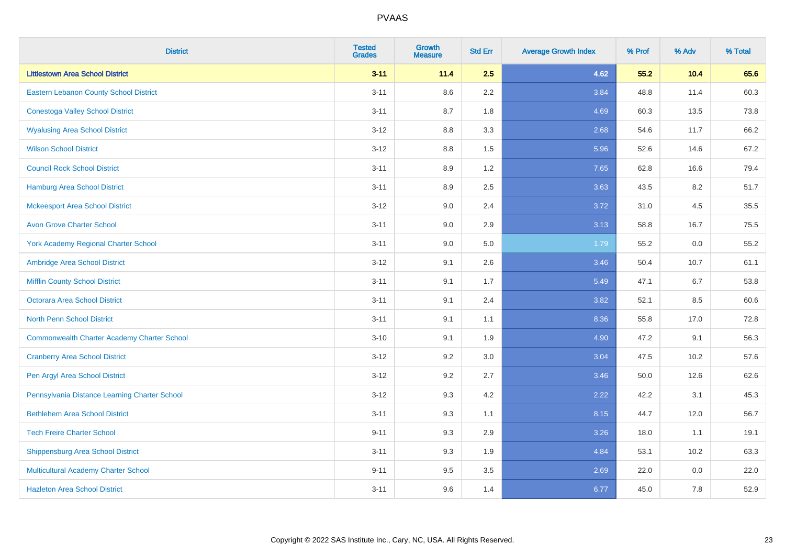| <b>District</b>                                    | <b>Tested</b><br><b>Grades</b> | <b>Growth</b><br><b>Measure</b> | <b>Std Err</b> | <b>Average Growth Index</b> | % Prof | % Adv | % Total |
|----------------------------------------------------|--------------------------------|---------------------------------|----------------|-----------------------------|--------|-------|---------|
| <b>Littlestown Area School District</b>            | $3 - 11$                       | 11.4                            | 2.5            | 4.62                        | 55.2   | 10.4  | 65.6    |
| Eastern Lebanon County School District             | $3 - 11$                       | 8.6                             | 2.2            | 3.84                        | 48.8   | 11.4  | 60.3    |
| <b>Conestoga Valley School District</b>            | $3 - 11$                       | 8.7                             | 1.8            | 4.69                        | 60.3   | 13.5  | 73.8    |
| <b>Wyalusing Area School District</b>              | $3-12$                         | 8.8                             | 3.3            | 2.68                        | 54.6   | 11.7  | 66.2    |
| <b>Wilson School District</b>                      | $3 - 12$                       | 8.8                             | 1.5            | 5.96                        | 52.6   | 14.6  | 67.2    |
| <b>Council Rock School District</b>                | $3 - 11$                       | 8.9                             | 1.2            | 7.65                        | 62.8   | 16.6  | 79.4    |
| <b>Hamburg Area School District</b>                | $3 - 11$                       | 8.9                             | 2.5            | 3.63                        | 43.5   | 8.2   | 51.7    |
| <b>Mckeesport Area School District</b>             | $3 - 12$                       | 9.0                             | 2.4            | 3.72                        | 31.0   | 4.5   | 35.5    |
| <b>Avon Grove Charter School</b>                   | $3 - 11$                       | 9.0                             | 2.9            | 3.13                        | 58.8   | 16.7  | 75.5    |
| <b>York Academy Regional Charter School</b>        | $3 - 11$                       | 9.0                             | 5.0            | 1.79                        | 55.2   | 0.0   | 55.2    |
| Ambridge Area School District                      | $3 - 12$                       | 9.1                             | 2.6            | 3.46                        | 50.4   | 10.7  | 61.1    |
| <b>Mifflin County School District</b>              | $3 - 11$                       | 9.1                             | 1.7            | 5.49                        | 47.1   | 6.7   | 53.8    |
| <b>Octorara Area School District</b>               | $3 - 11$                       | 9.1                             | 2.4            | 3.82                        | 52.1   | 8.5   | 60.6    |
| <b>North Penn School District</b>                  | $3 - 11$                       | 9.1                             | 1.1            | 8.36                        | 55.8   | 17.0  | 72.8    |
| <b>Commonwealth Charter Academy Charter School</b> | $3 - 10$                       | 9.1                             | 1.9            | 4.90                        | 47.2   | 9.1   | 56.3    |
| <b>Cranberry Area School District</b>              | $3-12$                         | 9.2                             | 3.0            | 3.04                        | 47.5   | 10.2  | 57.6    |
| Pen Argyl Area School District                     | $3-12$                         | 9.2                             | 2.7            | 3.46                        | 50.0   | 12.6  | 62.6    |
| Pennsylvania Distance Learning Charter School      | $3 - 12$                       | 9.3                             | 4.2            | 2.22                        | 42.2   | 3.1   | 45.3    |
| <b>Bethlehem Area School District</b>              | $3 - 11$                       | 9.3                             | 1.1            | 8.15                        | 44.7   | 12.0  | 56.7    |
| <b>Tech Freire Charter School</b>                  | $9 - 11$                       | 9.3                             | 2.9            | 3.26                        | 18.0   | 1.1   | 19.1    |
| <b>Shippensburg Area School District</b>           | $3 - 11$                       | 9.3                             | 1.9            | 4.84                        | 53.1   | 10.2  | 63.3    |
| Multicultural Academy Charter School               | $9 - 11$                       | 9.5                             | 3.5            | 2.69                        | 22.0   | 0.0   | 22.0    |
| <b>Hazleton Area School District</b>               | $3 - 11$                       | 9.6                             | 1.4            | 6.77                        | 45.0   | 7.8   | 52.9    |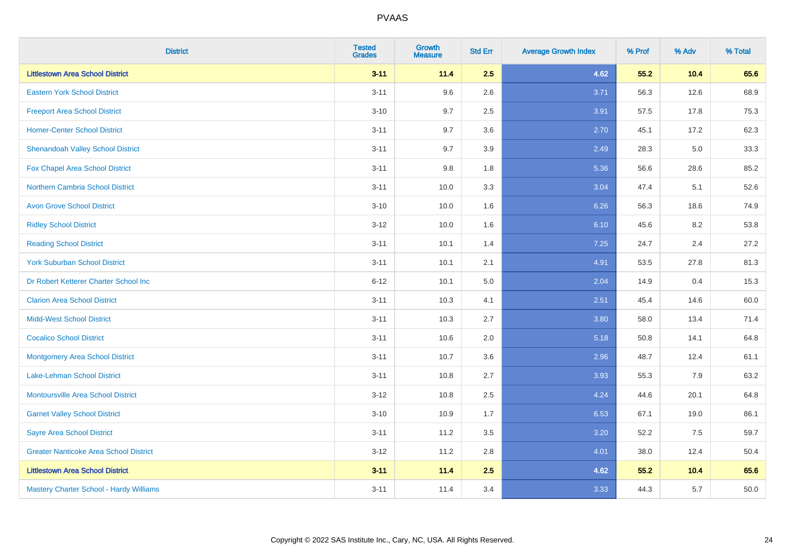| <b>District</b>                               | <b>Tested</b><br><b>Grades</b> | <b>Growth</b><br><b>Measure</b> | <b>Std Err</b> | <b>Average Growth Index</b> | % Prof | % Adv | % Total |
|-----------------------------------------------|--------------------------------|---------------------------------|----------------|-----------------------------|--------|-------|---------|
| <b>Littlestown Area School District</b>       | $3 - 11$                       | 11.4                            | 2.5            | 4.62                        | 55.2   | 10.4  | 65.6    |
| <b>Eastern York School District</b>           | $3 - 11$                       | 9.6                             | 2.6            | 3.71                        | 56.3   | 12.6  | 68.9    |
| <b>Freeport Area School District</b>          | $3 - 10$                       | 9.7                             | 2.5            | 3.91                        | 57.5   | 17.8  | 75.3    |
| <b>Homer-Center School District</b>           | $3 - 11$                       | 9.7                             | 3.6            | 2.70                        | 45.1   | 17.2  | 62.3    |
| <b>Shenandoah Valley School District</b>      | $3 - 11$                       | 9.7                             | 3.9            | 2.49                        | 28.3   | 5.0   | 33.3    |
| Fox Chapel Area School District               | $3 - 11$                       | 9.8                             | 1.8            | 5.36                        | 56.6   | 28.6  | 85.2    |
| <b>Northern Cambria School District</b>       | $3 - 11$                       | 10.0                            | 3.3            | 3.04                        | 47.4   | 5.1   | 52.6    |
| <b>Avon Grove School District</b>             | $3 - 10$                       | 10.0                            | 1.6            | 6.26                        | 56.3   | 18.6  | 74.9    |
| <b>Ridley School District</b>                 | $3 - 12$                       | 10.0                            | 1.6            | 6.10                        | 45.6   | 8.2   | 53.8    |
| <b>Reading School District</b>                | $3 - 11$                       | 10.1                            | 1.4            | 7.25                        | 24.7   | 2.4   | 27.2    |
| <b>York Suburban School District</b>          | $3 - 11$                       | 10.1                            | 2.1            | 4.91                        | 53.5   | 27.8  | 81.3    |
| Dr Robert Ketterer Charter School Inc         | $6 - 12$                       | 10.1                            | 5.0            | 2.04                        | 14.9   | 0.4   | 15.3    |
| <b>Clarion Area School District</b>           | $3 - 11$                       | 10.3                            | 4.1            | 2.51                        | 45.4   | 14.6  | 60.0    |
| <b>Midd-West School District</b>              | $3 - 11$                       | 10.3                            | 2.7            | 3.80                        | 58.0   | 13.4  | 71.4    |
| <b>Cocalico School District</b>               | $3 - 11$                       | 10.6                            | 2.0            | 5.18                        | 50.8   | 14.1  | 64.8    |
| Montgomery Area School District               | $3 - 11$                       | 10.7                            | 3.6            | 2.96                        | 48.7   | 12.4  | 61.1    |
| Lake-Lehman School District                   | $3 - 11$                       | 10.8                            | 2.7            | 3.93                        | 55.3   | 7.9   | 63.2    |
| <b>Montoursville Area School District</b>     | $3 - 12$                       | 10.8                            | 2.5            | 4.24                        | 44.6   | 20.1  | 64.8    |
| <b>Garnet Valley School District</b>          | $3 - 10$                       | 10.9                            | 1.7            | 6.53                        | 67.1   | 19.0  | 86.1    |
| <b>Sayre Area School District</b>             | $3 - 11$                       | 11.2                            | 3.5            | 3.20                        | 52.2   | 7.5   | 59.7    |
| <b>Greater Nanticoke Area School District</b> | $3 - 12$                       | 11.2                            | 2.8            | 4.01                        | 38.0   | 12.4  | 50.4    |
| <b>Littlestown Area School District</b>       | $3 - 11$                       | 11.4                            | 2.5            | 4.62                        | 55.2   | 10.4  | 65.6    |
| Mastery Charter School - Hardy Williams       | $3 - 11$                       | 11.4                            | 3.4            | 3.33                        | 44.3   | 5.7   | 50.0    |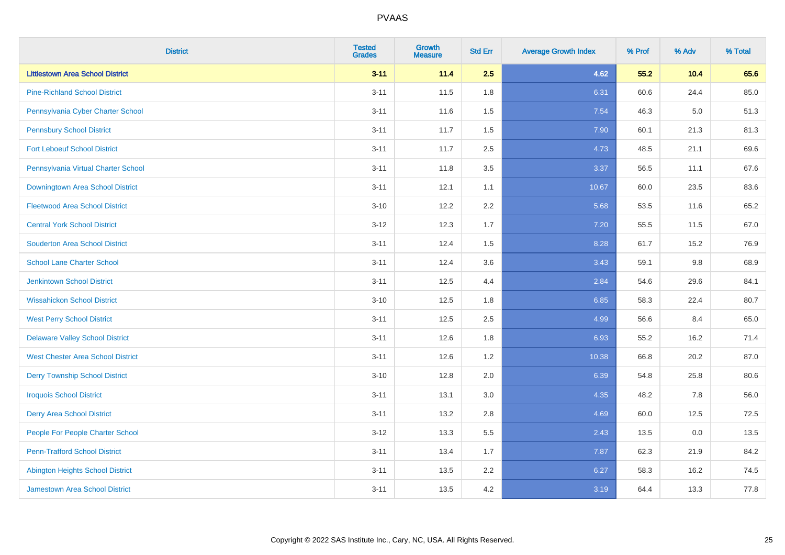| <b>District</b>                          | <b>Tested</b><br><b>Grades</b> | <b>Growth</b><br><b>Measure</b> | <b>Std Err</b> | <b>Average Growth Index</b> | % Prof | % Adv   | % Total |
|------------------------------------------|--------------------------------|---------------------------------|----------------|-----------------------------|--------|---------|---------|
| <b>Littlestown Area School District</b>  | $3 - 11$                       | 11.4                            | 2.5            | 4.62                        | 55.2   | 10.4    | 65.6    |
| <b>Pine-Richland School District</b>     | $3 - 11$                       | 11.5                            | 1.8            | 6.31                        | 60.6   | 24.4    | 85.0    |
| Pennsylvania Cyber Charter School        | $3 - 11$                       | 11.6                            | 1.5            | 7.54                        | 46.3   | $5.0\,$ | 51.3    |
| <b>Pennsbury School District</b>         | $3 - 11$                       | 11.7                            | 1.5            | 7.90                        | 60.1   | 21.3    | 81.3    |
| <b>Fort Leboeuf School District</b>      | $3 - 11$                       | 11.7                            | 2.5            | 4.73                        | 48.5   | 21.1    | 69.6    |
| Pennsylvania Virtual Charter School      | $3 - 11$                       | 11.8                            | 3.5            | 3.37                        | 56.5   | 11.1    | 67.6    |
| Downingtown Area School District         | $3 - 11$                       | 12.1                            | 1.1            | 10.67                       | 60.0   | 23.5    | 83.6    |
| <b>Fleetwood Area School District</b>    | $3 - 10$                       | 12.2                            | 2.2            | 5.68                        | 53.5   | 11.6    | 65.2    |
| <b>Central York School District</b>      | $3 - 12$                       | 12.3                            | 1.7            | 7.20                        | 55.5   | 11.5    | 67.0    |
| <b>Souderton Area School District</b>    | $3 - 11$                       | 12.4                            | 1.5            | 8.28                        | 61.7   | 15.2    | 76.9    |
| <b>School Lane Charter School</b>        | $3 - 11$                       | 12.4                            | 3.6            | 3.43                        | 59.1   | 9.8     | 68.9    |
| <b>Jenkintown School District</b>        | $3 - 11$                       | 12.5                            | 4.4            | 2.84                        | 54.6   | 29.6    | 84.1    |
| <b>Wissahickon School District</b>       | $3 - 10$                       | 12.5                            | 1.8            | 6.85                        | 58.3   | 22.4    | 80.7    |
| <b>West Perry School District</b>        | $3 - 11$                       | 12.5                            | 2.5            | 4.99                        | 56.6   | 8.4     | 65.0    |
| <b>Delaware Valley School District</b>   | $3 - 11$                       | 12.6                            | 1.8            | 6.93                        | 55.2   | 16.2    | 71.4    |
| <b>West Chester Area School District</b> | $3 - 11$                       | 12.6                            | 1.2            | 10.38                       | 66.8   | 20.2    | 87.0    |
| <b>Derry Township School District</b>    | $3 - 10$                       | 12.8                            | 2.0            | 6.39                        | 54.8   | 25.8    | 80.6    |
| <b>Iroquois School District</b>          | $3 - 11$                       | 13.1                            | 3.0            | 4.35                        | 48.2   | 7.8     | 56.0    |
| <b>Derry Area School District</b>        | $3 - 11$                       | 13.2                            | 2.8            | 4.69                        | 60.0   | 12.5    | 72.5    |
| People For People Charter School         | $3 - 12$                       | 13.3                            | 5.5            | 2.43                        | 13.5   | 0.0     | 13.5    |
| <b>Penn-Trafford School District</b>     | $3 - 11$                       | 13.4                            | 1.7            | 7.87                        | 62.3   | 21.9    | 84.2    |
| <b>Abington Heights School District</b>  | $3 - 11$                       | 13.5                            | 2.2            | 6.27                        | 58.3   | 16.2    | 74.5    |
| <b>Jamestown Area School District</b>    | $3 - 11$                       | 13.5                            | 4.2            | 3.19                        | 64.4   | 13.3    | 77.8    |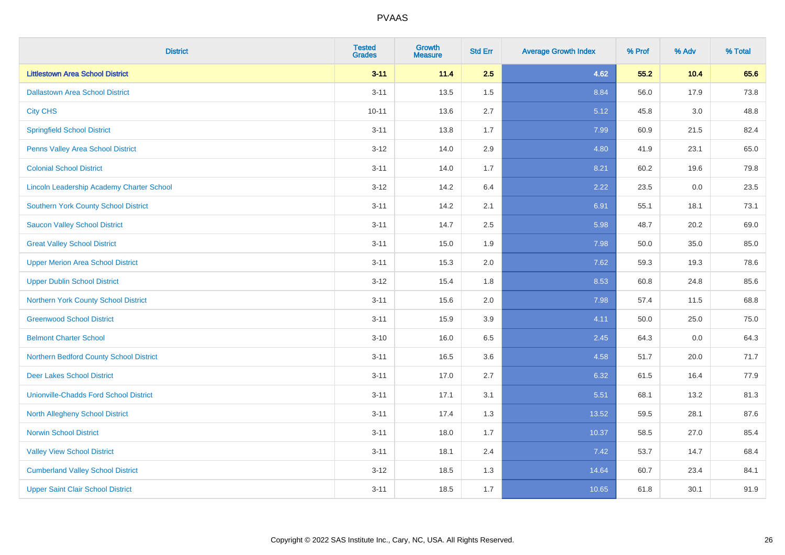| <b>District</b>                                  | <b>Tested</b><br><b>Grades</b> | <b>Growth</b><br><b>Measure</b> | <b>Std Err</b> | <b>Average Growth Index</b> | % Prof | % Adv   | % Total |
|--------------------------------------------------|--------------------------------|---------------------------------|----------------|-----------------------------|--------|---------|---------|
| <b>Littlestown Area School District</b>          | $3 - 11$                       | 11.4                            | 2.5            | 4.62                        | 55.2   | 10.4    | 65.6    |
| <b>Dallastown Area School District</b>           | $3 - 11$                       | 13.5                            | 1.5            | 8.84                        | 56.0   | 17.9    | 73.8    |
| <b>City CHS</b>                                  | $10 - 11$                      | 13.6                            | 2.7            | 5.12                        | 45.8   | 3.0     | 48.8    |
| <b>Springfield School District</b>               | $3 - 11$                       | 13.8                            | 1.7            | 7.99                        | 60.9   | 21.5    | 82.4    |
| Penns Valley Area School District                | $3 - 12$                       | 14.0                            | 2.9            | 4.80                        | 41.9   | 23.1    | 65.0    |
| <b>Colonial School District</b>                  | $3 - 11$                       | 14.0                            | 1.7            | 8.21                        | 60.2   | 19.6    | 79.8    |
| <b>Lincoln Leadership Academy Charter School</b> | $3 - 12$                       | 14.2                            | 6.4            | 2.22                        | 23.5   | $0.0\,$ | 23.5    |
| <b>Southern York County School District</b>      | $3 - 11$                       | 14.2                            | 2.1            | 6.91                        | 55.1   | 18.1    | 73.1    |
| <b>Saucon Valley School District</b>             | $3 - 11$                       | 14.7                            | 2.5            | 5.98                        | 48.7   | 20.2    | 69.0    |
| <b>Great Valley School District</b>              | $3 - 11$                       | 15.0                            | 1.9            | 7.98                        | 50.0   | 35.0    | 85.0    |
| <b>Upper Merion Area School District</b>         | $3 - 11$                       | 15.3                            | 2.0            | 7.62                        | 59.3   | 19.3    | 78.6    |
| <b>Upper Dublin School District</b>              | $3 - 12$                       | 15.4                            | 1.8            | 8.53                        | 60.8   | 24.8    | 85.6    |
| Northern York County School District             | $3 - 11$                       | 15.6                            | 2.0            | 7.98                        | 57.4   | 11.5    | 68.8    |
| <b>Greenwood School District</b>                 | $3 - 11$                       | 15.9                            | 3.9            | 4.11                        | 50.0   | 25.0    | 75.0    |
| <b>Belmont Charter School</b>                    | $3 - 10$                       | 16.0                            | 6.5            | 2.45                        | 64.3   | 0.0     | 64.3    |
| Northern Bedford County School District          | $3 - 11$                       | 16.5                            | 3.6            | 4.58                        | 51.7   | 20.0    | 71.7    |
| <b>Deer Lakes School District</b>                | $3 - 11$                       | 17.0                            | 2.7            | 6.32                        | 61.5   | 16.4    | 77.9    |
| <b>Unionville-Chadds Ford School District</b>    | $3 - 11$                       | 17.1                            | 3.1            | 5.51                        | 68.1   | 13.2    | 81.3    |
| <b>North Allegheny School District</b>           | $3 - 11$                       | 17.4                            | 1.3            | 13.52                       | 59.5   | 28.1    | 87.6    |
| <b>Norwin School District</b>                    | $3 - 11$                       | 18.0                            | 1.7            | 10.37                       | 58.5   | 27.0    | 85.4    |
| <b>Valley View School District</b>               | $3 - 11$                       | 18.1                            | 2.4            | 7.42                        | 53.7   | 14.7    | 68.4    |
| <b>Cumberland Valley School District</b>         | $3 - 12$                       | 18.5                            | 1.3            | 14.64                       | 60.7   | 23.4    | 84.1    |
| <b>Upper Saint Clair School District</b>         | $3 - 11$                       | 18.5                            | 1.7            | 10.65                       | 61.8   | 30.1    | 91.9    |